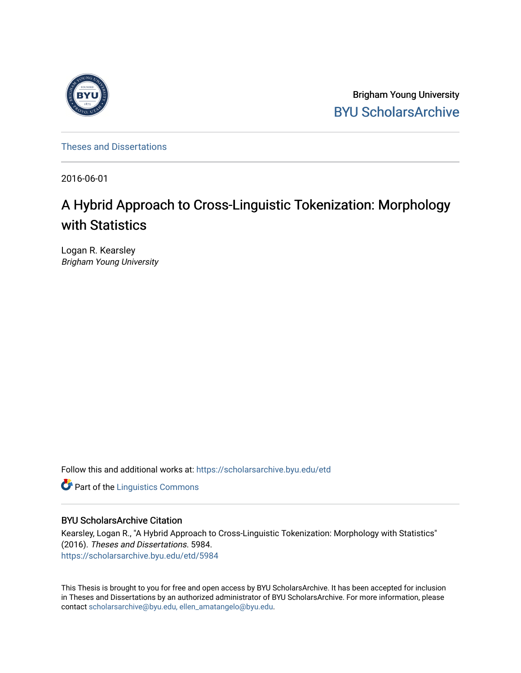

Brigham Young University [BYU ScholarsArchive](https://scholarsarchive.byu.edu/) 

[Theses and Dissertations](https://scholarsarchive.byu.edu/etd)

2016-06-01

# A Hybrid Approach to Cross-Linguistic Tokenization: Morphology with Statistics

Logan R. Kearsley Brigham Young University

Follow this and additional works at: [https://scholarsarchive.byu.edu/etd](https://scholarsarchive.byu.edu/etd?utm_source=scholarsarchive.byu.edu%2Fetd%2F5984&utm_medium=PDF&utm_campaign=PDFCoverPages)

**Part of the Linguistics Commons** 

### BYU ScholarsArchive Citation

Kearsley, Logan R., "A Hybrid Approach to Cross-Linguistic Tokenization: Morphology with Statistics" (2016). Theses and Dissertations. 5984. [https://scholarsarchive.byu.edu/etd/5984](https://scholarsarchive.byu.edu/etd/5984?utm_source=scholarsarchive.byu.edu%2Fetd%2F5984&utm_medium=PDF&utm_campaign=PDFCoverPages) 

This Thesis is brought to you for free and open access by BYU ScholarsArchive. It has been accepted for inclusion in Theses and Dissertations by an authorized administrator of BYU ScholarsArchive. For more information, please contact [scholarsarchive@byu.edu, ellen\\_amatangelo@byu.edu](mailto:scholarsarchive@byu.edu,%20ellen_amatangelo@byu.edu).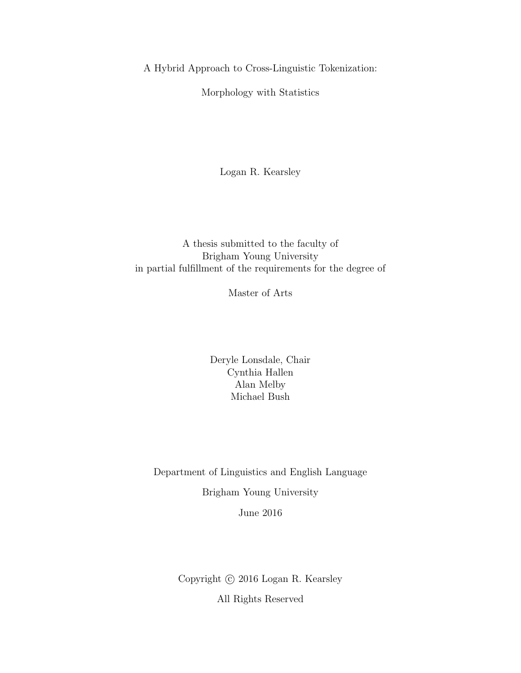A Hybrid Approach to Cross-Linguistic Tokenization:

Morphology with Statistics

Logan R. Kearsley

# A thesis submitted to the faculty of Brigham Young University in partial fulfillment of the requirements for the degree of

Master of Arts

Deryle Lonsdale, Chair Cynthia Hallen Alan Melby Michael Bush

Department of Linguistics and English Language Brigham Young University June 2016

> Copyright  $\odot$  2016 Logan R. Kearsley All Rights Reserved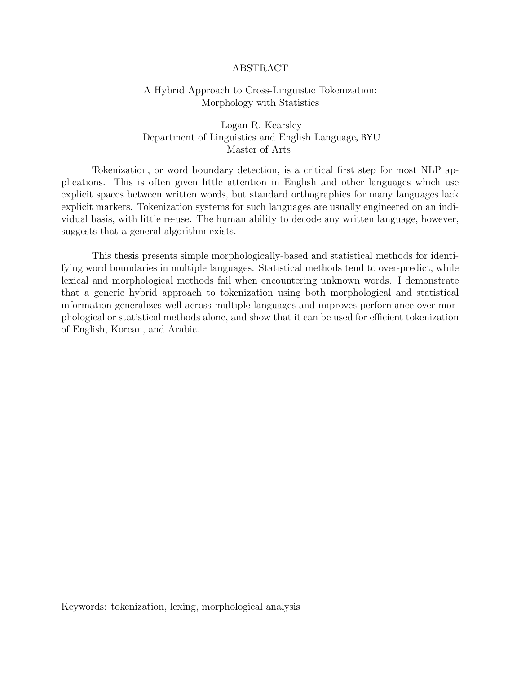#### ABSTRACT

#### <span id="page-2-0"></span>A Hybrid Approach to Cross-Linguistic Tokenization: Morphology with Statistics

### Logan R. Kearsley Department of Linguistics and English Language, BYU Master of Arts

Tokenization, or word boundary detection, is a critical first step for most NLP applications. This is often given little attention in English and other languages which use explicit spaces between written words, but standard orthographies for many languages lack explicit markers. Tokenization systems for such languages are usually engineered on an individual basis, with little re-use. The human ability to decode any written language, however, suggests that a general algorithm exists.

This thesis presents simple morphologically-based and statistical methods for identifying word boundaries in multiple languages. Statistical methods tend to over-predict, while lexical and morphological methods fail when encountering unknown words. I demonstrate that a generic hybrid approach to tokenization using both morphological and statistical information generalizes well across multiple languages and improves performance over morphological or statistical methods alone, and show that it can be used for efficient tokenization of English, Korean, and Arabic.

Keywords: tokenization, lexing, morphological analysis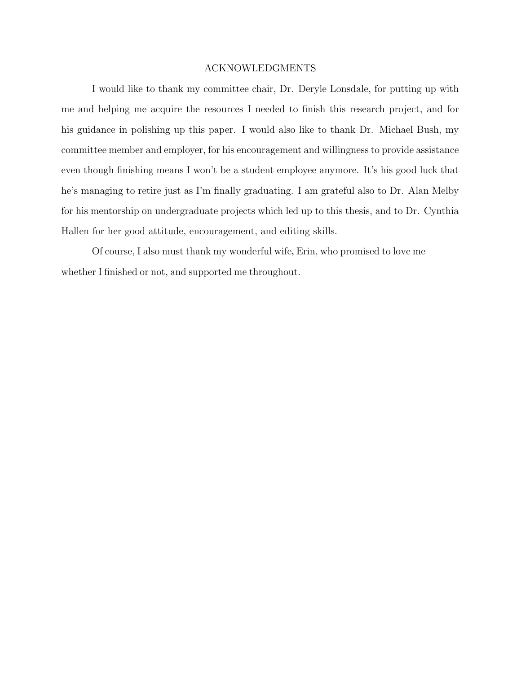#### ACKNOWLEDGMENTS

<span id="page-3-0"></span>I would like to thank my committee chair, Dr. Deryle Lonsdale, for putting up with me and helping me acquire the resources I needed to finish this research project, and for his guidance in polishing up this paper. I would also like to thank Dr. Michael Bush, my committee member and employer, for his encouragement and willingness to provide assistance even though finishing means I won't be a student employee anymore. It's his good luck that he's managing to retire just as I'm finally graduating. I am grateful also to Dr. Alan Melby for his mentorship on undergraduate projects which led up to this thesis, and to Dr. Cynthia Hallen for her good attitude, encouragement, and editing skills.

Of course, I also must thank my wonderful wife, Erin, who promised to love me whether I finished or not, and supported me throughout.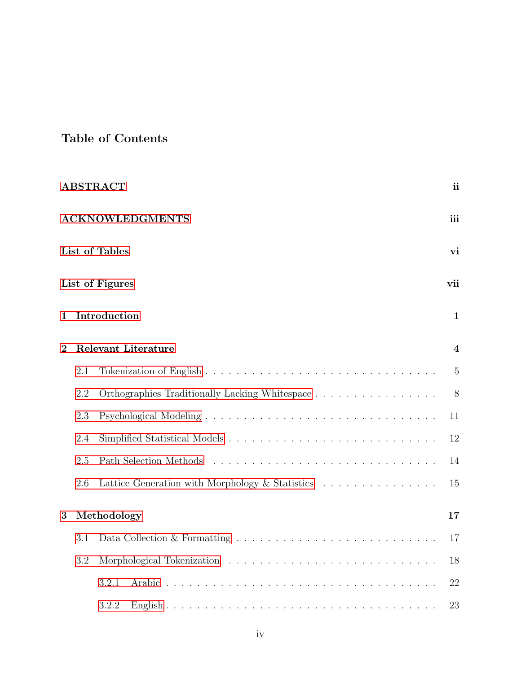# Table of Contents

|                |                               | <b>ABSTRACT</b>                                 | ii             |  |  |  |  |  |
|----------------|-------------------------------|-------------------------------------------------|----------------|--|--|--|--|--|
|                | <b>ACKNOWLEDGMENTS</b><br>iii |                                                 |                |  |  |  |  |  |
|                |                               | List of Tables                                  | vi             |  |  |  |  |  |
|                |                               | List of Figures                                 | vii            |  |  |  |  |  |
| 1              |                               | Introduction                                    | $\mathbf{1}$   |  |  |  |  |  |
| $\overline{2}$ |                               | <b>Relevant Literature</b>                      | $\overline{4}$ |  |  |  |  |  |
|                | 2.1                           |                                                 | $\overline{5}$ |  |  |  |  |  |
|                | 2.2                           | Orthographies Traditionally Lacking Whitespace  | 8              |  |  |  |  |  |
|                | 2.3                           |                                                 | 11             |  |  |  |  |  |
|                | 2.4                           |                                                 | 12             |  |  |  |  |  |
|                | 2.5                           |                                                 | 14             |  |  |  |  |  |
|                | 2.6                           | Lattice Generation with Morphology & Statistics | 15             |  |  |  |  |  |
| 3              |                               | Methodology                                     | 17             |  |  |  |  |  |
|                | 3.1                           |                                                 | 17             |  |  |  |  |  |
|                | 3.2                           |                                                 | 18             |  |  |  |  |  |
|                |                               | 3.2.1                                           | 22             |  |  |  |  |  |
|                |                               | 3.2.2                                           | 23             |  |  |  |  |  |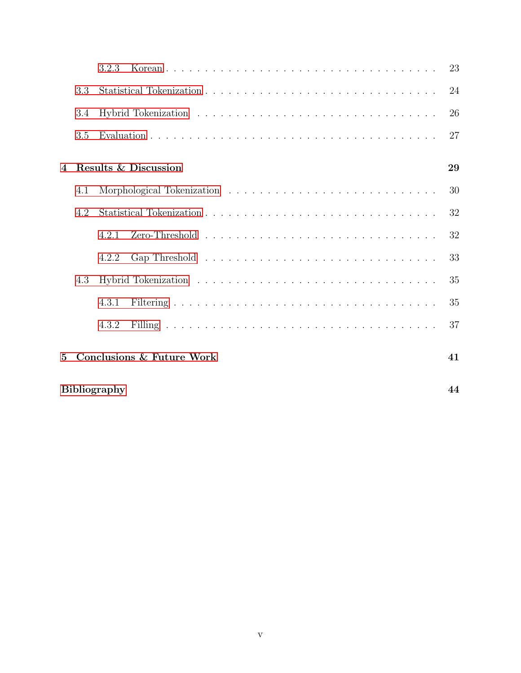|                |                           | 3.2.3                     | 23 |  |  |  |
|----------------|---------------------------|---------------------------|----|--|--|--|
|                | 3.3                       |                           | 24 |  |  |  |
|                | 3.4                       |                           | 26 |  |  |  |
|                | 3.5                       |                           | 27 |  |  |  |
| $\overline{A}$ |                           | Results & Discussion      | 29 |  |  |  |
|                | 4.1                       |                           | 30 |  |  |  |
|                | 4.2                       |                           | 32 |  |  |  |
|                |                           | 4.2.1                     | 32 |  |  |  |
|                |                           | 4.2.2                     | 33 |  |  |  |
|                | 4.3                       |                           | 35 |  |  |  |
|                |                           | 4.3.1                     | 35 |  |  |  |
|                |                           | 4.3.2                     | 37 |  |  |  |
| 5              |                           | Conclusions & Future Work | 41 |  |  |  |
|                | <b>Bibliography</b><br>44 |                           |    |  |  |  |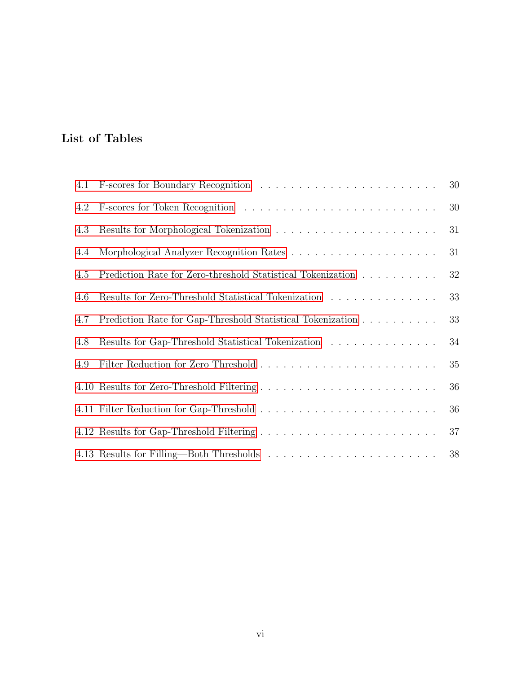# <span id="page-6-0"></span>List of Tables

|     |                                                             | 30 |
|-----|-------------------------------------------------------------|----|
| 4.2 |                                                             | 30 |
| 4.3 |                                                             | 31 |
| 4.4 |                                                             | 31 |
| 4.5 | Prediction Rate for Zero-threshold Statistical Tokenization | 32 |
| 4.6 | Results for Zero-Threshold Statistical Tokenization         | 33 |
| 4.7 | Prediction Rate for Gap-Threshold Statistical Tokenization  | 33 |
| 4.8 | Results for Gap-Threshold Statistical Tokenization          | 34 |
| 4.9 |                                                             | 35 |
|     |                                                             | 36 |
|     |                                                             | 36 |
|     |                                                             | 37 |
|     |                                                             | 38 |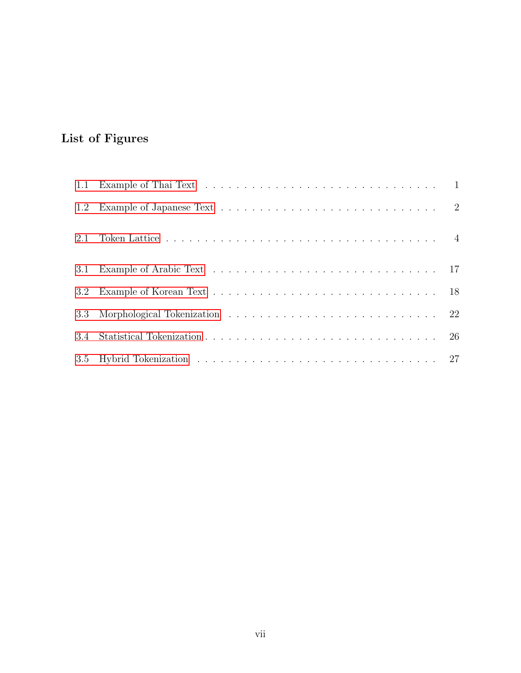# <span id="page-7-0"></span>List of Figures

| 1.2 | Example of Japanese Text $\ldots \ldots \ldots \ldots \ldots \ldots \ldots \ldots \ldots \ldots 2$ |  |
|-----|----------------------------------------------------------------------------------------------------|--|
| 2.1 |                                                                                                    |  |
| 3.1 |                                                                                                    |  |
| 3.2 |                                                                                                    |  |
|     |                                                                                                    |  |
| 3.4 |                                                                                                    |  |
|     |                                                                                                    |  |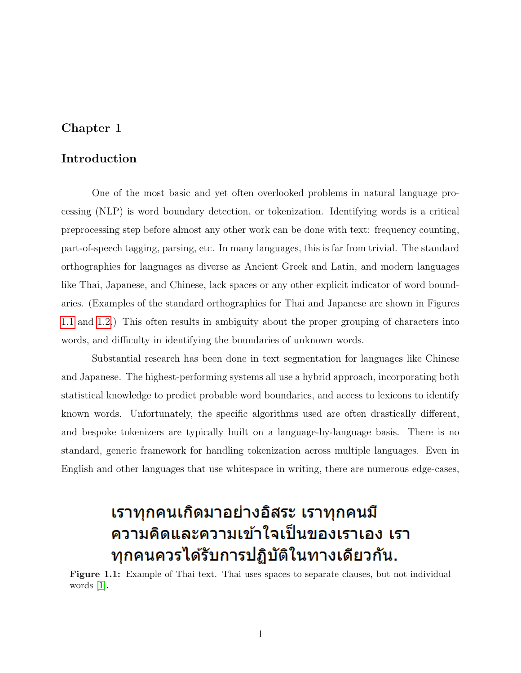# <span id="page-8-2"></span><span id="page-8-0"></span>Chapter 1

## Introduction

One of the most basic and yet often overlooked problems in natural language processing (NLP) is word boundary detection, or tokenization. Identifying words is a critical preprocessing step before almost any other work can be done with text: frequency counting, part-of-speech tagging, parsing, etc. In many languages, this is far from trivial. The standard orthographies for languages as diverse as Ancient Greek and Latin, and modern languages like Thai, Japanese, and Chinese, lack spaces or any other explicit indicator of word boundaries. (Examples of the standard orthographies for Thai and Japanese are shown in Figures [1.1](#page-8-1) and [1.2.](#page-9-0)) This often results in ambiguity about the proper grouping of characters into words, and difficulty in identifying the boundaries of unknown words.

Substantial research has been done in text segmentation for languages like Chinese and Japanese. The highest-performing systems all use a hybrid approach, incorporating both statistical knowledge to predict probable word boundaries, and access to lexicons to identify known words. Unfortunately, the specific algorithms used are often drastically different, and bespoke tokenizers are typically built on a language-by-language basis. There is no standard, generic framework for handling tokenization across multiple languages. Even in English and other languages that use whitespace in writing, there are numerous edge-cases,

# เราทุกคนเกิดมาอย่างอิสระ เราทุกคนมี ้ความคิดและความเข้าใจเป็นของเราเอง เรา ทุกคนควรได้รับการปฏิบัติในทางเดียวกัน.

<span id="page-8-1"></span>Figure 1.1: Example of Thai text. Thai uses spaces to separate clauses, but not individual words [\[1\]](#page-51-1).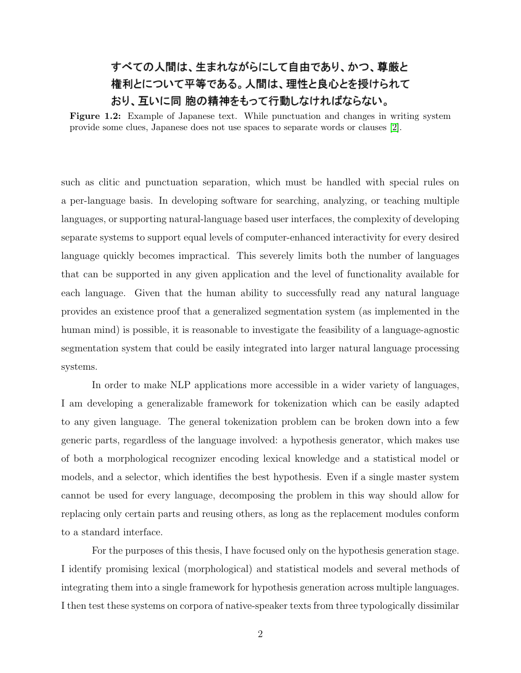# <span id="page-9-1"></span><span id="page-9-0"></span>すべての人間は、生まれながらにして自由であり、かつ、尊厳と 権利とについて平等である。人間は、理性と良心とを授けられて おり、互いに同 胞の精神をもって行動しなければならない。

Figure 1.2: Example of Japanese text. While punctuation and changes in writing system provide some clues, Japanese does not use spaces to separate words or clauses [\[2\]](#page-51-2).

such as clitic and punctuation separation, which must be handled with special rules on a per-language basis. In developing software for searching, analyzing, or teaching multiple languages, or supporting natural-language based user interfaces, the complexity of developing separate systems to support equal levels of computer-enhanced interactivity for every desired language quickly becomes impractical. This severely limits both the number of languages that can be supported in any given application and the level of functionality available for each language. Given that the human ability to successfully read any natural language provides an existence proof that a generalized segmentation system (as implemented in the human mind) is possible, it is reasonable to investigate the feasibility of a language-agnostic segmentation system that could be easily integrated into larger natural language processing systems.

In order to make NLP applications more accessible in a wider variety of languages, I am developing a generalizable framework for tokenization which can be easily adapted to any given language. The general tokenization problem can be broken down into a few generic parts, regardless of the language involved: a hypothesis generator, which makes use of both a morphological recognizer encoding lexical knowledge and a statistical model or models, and a selector, which identifies the best hypothesis. Even if a single master system cannot be used for every language, decomposing the problem in this way should allow for replacing only certain parts and reusing others, as long as the replacement modules conform to a standard interface.

For the purposes of this thesis, I have focused only on the hypothesis generation stage. I identify promising lexical (morphological) and statistical models and several methods of integrating them into a single framework for hypothesis generation across multiple languages. I then test these systems on corpora of native-speaker texts from three typologically dissimilar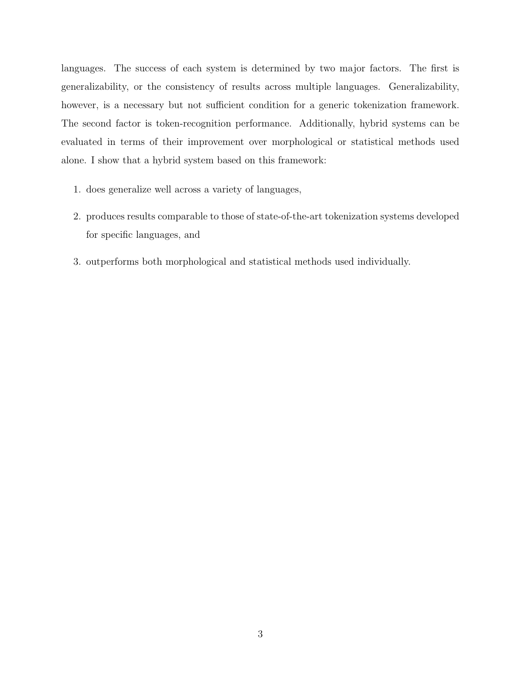languages. The success of each system is determined by two major factors. The first is generalizability, or the consistency of results across multiple languages. Generalizability, however, is a necessary but not sufficient condition for a generic tokenization framework. The second factor is token-recognition performance. Additionally, hybrid systems can be evaluated in terms of their improvement over morphological or statistical methods used alone. I show that a hybrid system based on this framework:

- 1. does generalize well across a variety of languages,
- 2. produces results comparable to those of state-of-the-art tokenization systems developed for specific languages, and
- 3. outperforms both morphological and statistical methods used individually.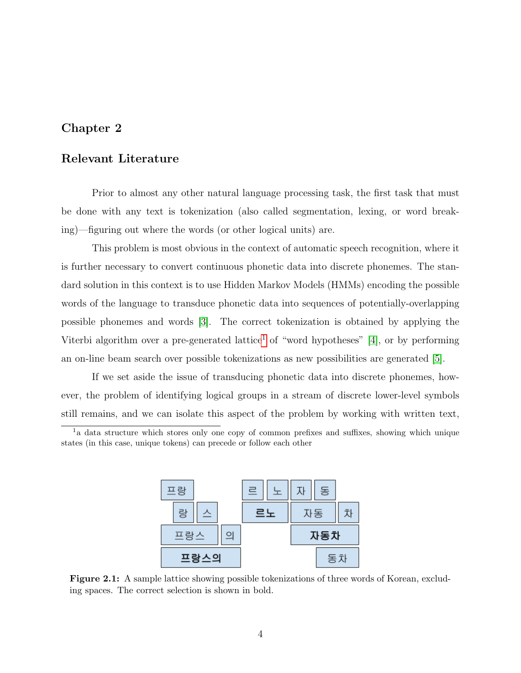# <span id="page-11-3"></span><span id="page-11-0"></span>Chapter 2

### Relevant Literature

Prior to almost any other natural language processing task, the first task that must be done with any text is tokenization (also called segmentation, lexing, or word breaking)—figuring out where the words (or other logical units) are.

This problem is most obvious in the context of automatic speech recognition, where it is further necessary to convert continuous phonetic data into discrete phonemes. The standard solution in this context is to use Hidden Markov Models (HMMs) encoding the possible words of the language to transduce phonetic data into sequences of potentially-overlapping possible phonemes and words [\[3\]](#page-51-3). The correct tokenization is obtained by applying the Viterbi algorithm over a pre-generated lattice<sup>[1](#page-11-2)</sup> of "word hypotheses" [\[4\]](#page-51-4), or by performing an on-line beam search over possible tokenizations as new possibilities are generated [\[5\]](#page-51-5).

If we set aside the issue of transducing phonetic data into discrete phonemes, however, the problem of identifying logical groups in a stream of discrete lower-level symbols still remains, and we can isolate this aspect of the problem by working with written text,

<span id="page-11-2"></span><sup>1</sup>a data structure which stores only one copy of common prefixes and suffixes, showing which unique states (in this case, unique tokens) can precede or follow each other



<span id="page-11-1"></span>Figure 2.1: A sample lattice showing possible tokenizations of three words of Korean, excluding spaces. The correct selection is shown in bold.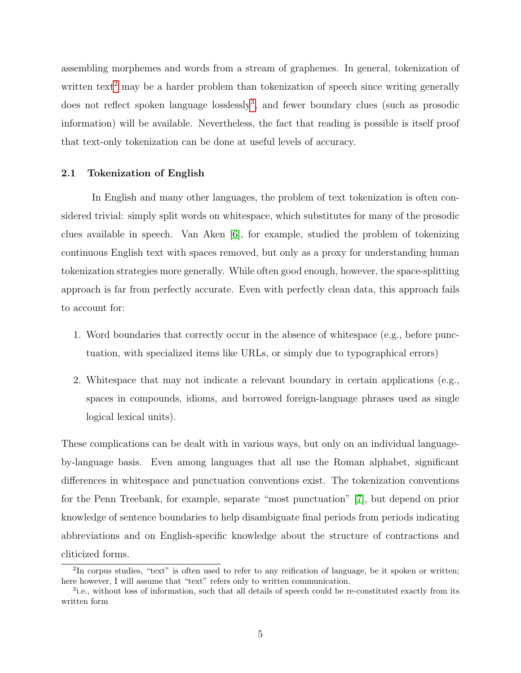<span id="page-12-3"></span>assembling morphemes and words from a stream of graphemes. In general, tokenization of written text<sup>[2](#page-12-1)</sup> may be a harder problem than tokenization of speech since writing generally does not reflect spoken language losslessly<sup>[3](#page-12-2)</sup>, and fewer boundary clues (such as prosodic information) will be available. Nevertheless, the fact that reading is possible is itself proof that text-only tokenization can be done at useful levels of accuracy.

#### <span id="page-12-0"></span>2.1 Tokenization of English

In English and many other languages, the problem of text tokenization is often considered trivial: simply split words on whitespace, which substitutes for many of the prosodic clues available in speech. Van Aken [\[6\]](#page-51-6), for example, studied the problem of tokenizing continuous English text with spaces removed, but only as a proxy for understanding human tokenization strategies more generally. While often good enough, however, the space-splitting approach is far from perfectly accurate. Even with perfectly clean data, this approach fails to account for:

- 1. Word boundaries that correctly occur in the absence of whitespace (e.g., before punctuation, with specialized items like URLs, or simply due to typographical errors)
- 2. Whitespace that may not indicate a relevant boundary in certain applications (e.g., spaces in compounds, idioms, and borrowed foreign-language phrases used as single logical lexical units).

These complications can be dealt with in various ways, but only on an individual languageby-language basis. Even among languages that all use the Roman alphabet, significant differences in whitespace and punctuation conventions exist. The tokenization conventions for the Penn Treebank, for example, separate "most punctuation" [\[7\]](#page-51-7), but depend on prior knowledge of sentence boundaries to help disambiguate final periods from periods indicating abbreviations and on English-specific knowledge about the structure of contractions and cliticized forms.

<span id="page-12-1"></span><sup>&</sup>lt;sup>2</sup>In corpus studies, "text" is often used to refer to any reification of language, be it spoken or written; here however, I will assume that "text" refers only to written communication.

<span id="page-12-2"></span><sup>&</sup>lt;sup>3</sup>i.e., without loss of information, such that all details of speech could be re-constituted exactly from its written form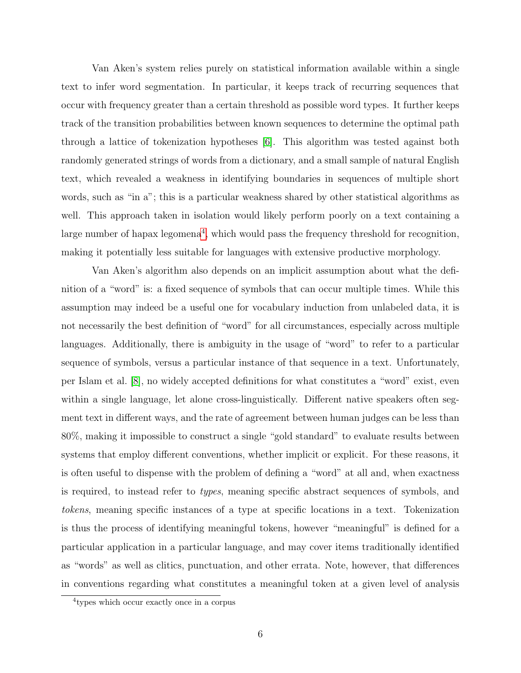<span id="page-13-1"></span>Van Aken's system relies purely on statistical information available within a single text to infer word segmentation. In particular, it keeps track of recurring sequences that occur with frequency greater than a certain threshold as possible word types. It further keeps track of the transition probabilities between known sequences to determine the optimal path through a lattice of tokenization hypotheses [\[6\]](#page-51-6). This algorithm was tested against both randomly generated strings of words from a dictionary, and a small sample of natural English text, which revealed a weakness in identifying boundaries in sequences of multiple short words, such as "in a"; this is a particular weakness shared by other statistical algorithms as well. This approach taken in isolation would likely perform poorly on a text containing a large number of hapax legomena<sup>[4](#page-13-0)</sup>, which would pass the frequency threshold for recognition, making it potentially less suitable for languages with extensive productive morphology.

Van Aken's algorithm also depends on an implicit assumption about what the definition of a "word" is: a fixed sequence of symbols that can occur multiple times. While this assumption may indeed be a useful one for vocabulary induction from unlabeled data, it is not necessarily the best definition of "word" for all circumstances, especially across multiple languages. Additionally, there is ambiguity in the usage of "word" to refer to a particular sequence of symbols, versus a particular instance of that sequence in a text. Unfortunately, per Islam et al. [\[8\]](#page-51-8), no widely accepted definitions for what constitutes a "word" exist, even within a single language, let alone cross-linguistically. Different native speakers often segment text in different ways, and the rate of agreement between human judges can be less than 80%, making it impossible to construct a single "gold standard" to evaluate results between systems that employ different conventions, whether implicit or explicit. For these reasons, it is often useful to dispense with the problem of defining a "word" at all and, when exactness is required, to instead refer to types, meaning specific abstract sequences of symbols, and tokens, meaning specific instances of a type at specific locations in a text. Tokenization is thus the process of identifying meaningful tokens, however "meaningful" is defined for a particular application in a particular language, and may cover items traditionally identified as "words" as well as clitics, punctuation, and other errata. Note, however, that differences in conventions regarding what constitutes a meaningful token at a given level of analysis

<span id="page-13-0"></span><sup>4</sup> types which occur exactly once in a corpus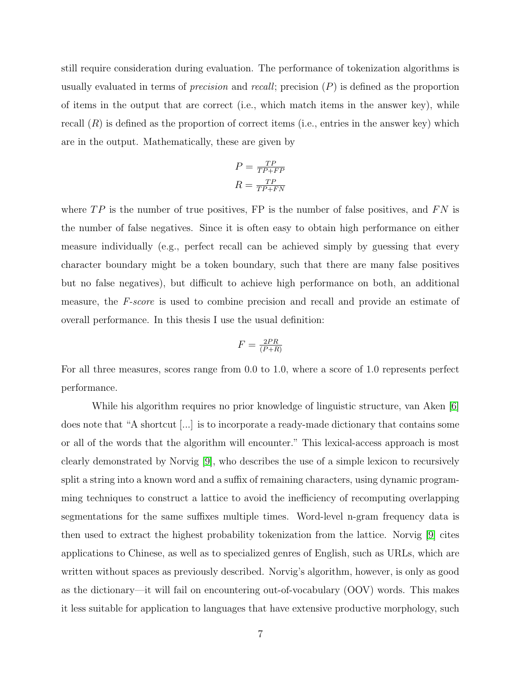<span id="page-14-0"></span>still require consideration during evaluation. The performance of tokenization algorithms is usually evaluated in terms of *precision* and *recall*; precision  $(P)$  is defined as the proportion of items in the output that are correct (i.e., which match items in the answer key), while recall  $(R)$  is defined as the proportion of correct items (i.e., entries in the answer key) which are in the output. Mathematically, these are given by

$$
P = \frac{TP}{TP + FP}
$$

$$
R = \frac{TP}{TP + FN}
$$

where  $TP$  is the number of true positives, FP is the number of false positives, and  $FN$  is the number of false negatives. Since it is often easy to obtain high performance on either measure individually (e.g., perfect recall can be achieved simply by guessing that every character boundary might be a token boundary, such that there are many false positives but no false negatives), but difficult to achieve high performance on both, an additional measure, the F-score is used to combine precision and recall and provide an estimate of overall performance. In this thesis I use the usual definition:

$$
F = \frac{2PR}{(P+R)}
$$

For all three measures, scores range from 0.0 to 1.0, where a score of 1.0 represents perfect performance.

While his algorithm requires no prior knowledge of linguistic structure, van Aken [\[6\]](#page-51-6) does note that "A shortcut [...] is to incorporate a ready-made dictionary that contains some or all of the words that the algorithm will encounter." This lexical-access approach is most clearly demonstrated by Norvig [\[9\]](#page-51-9), who describes the use of a simple lexicon to recursively split a string into a known word and a suffix of remaining characters, using dynamic programming techniques to construct a lattice to avoid the inefficiency of recomputing overlapping segmentations for the same suffixes multiple times. Word-level n-gram frequency data is then used to extract the highest probability tokenization from the lattice. Norvig [\[9\]](#page-51-9) cites applications to Chinese, as well as to specialized genres of English, such as URLs, which are written without spaces as previously described. Norvig's algorithm, however, is only as good as the dictionary—it will fail on encountering out-of-vocabulary (OOV) words. This makes it less suitable for application to languages that have extensive productive morphology, such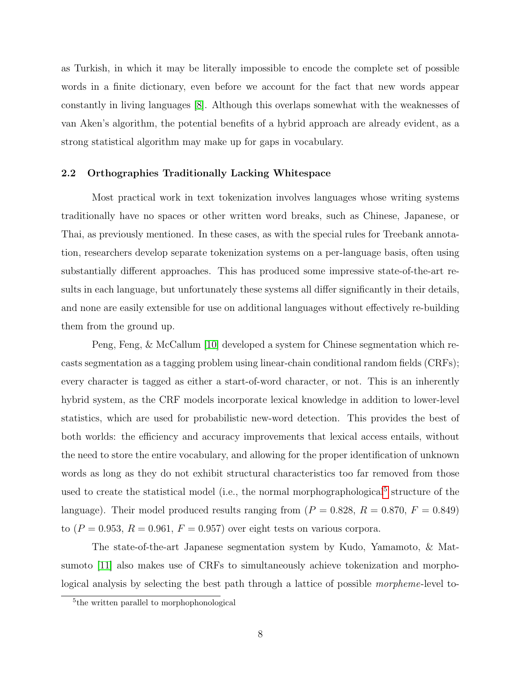<span id="page-15-2"></span>as Turkish, in which it may be literally impossible to encode the complete set of possible words in a finite dictionary, even before we account for the fact that new words appear constantly in living languages [\[8\]](#page-51-8). Although this overlaps somewhat with the weaknesses of van Aken's algorithm, the potential benefits of a hybrid approach are already evident, as a strong statistical algorithm may make up for gaps in vocabulary.

#### <span id="page-15-0"></span>2.2 Orthographies Traditionally Lacking Whitespace

Most practical work in text tokenization involves languages whose writing systems traditionally have no spaces or other written word breaks, such as Chinese, Japanese, or Thai, as previously mentioned. In these cases, as with the special rules for Treebank annotation, researchers develop separate tokenization systems on a per-language basis, often using substantially different approaches. This has produced some impressive state-of-the-art results in each language, but unfortunately these systems all differ significantly in their details, and none are easily extensible for use on additional languages without effectively re-building them from the ground up.

Peng, Feng, & McCallum [\[10\]](#page-51-10) developed a system for Chinese segmentation which recasts segmentation as a tagging problem using linear-chain conditional random fields (CRFs); every character is tagged as either a start-of-word character, or not. This is an inherently hybrid system, as the CRF models incorporate lexical knowledge in addition to lower-level statistics, which are used for probabilistic new-word detection. This provides the best of both worlds: the efficiency and accuracy improvements that lexical access entails, without the need to store the entire vocabulary, and allowing for the proper identification of unknown words as long as they do not exhibit structural characteristics too far removed from those used to create the statistical model (i.e., the normal morphographological<sup>[5](#page-15-1)</sup> structure of the language). Their model produced results ranging from  $(P = 0.828, R = 0.870, F = 0.849)$ to  $(P = 0.953, R = 0.961, F = 0.957)$  over eight tests on various corpora.

The state-of-the-art Japanese segmentation system by Kudo, Yamamoto, & Matsumoto [\[11\]](#page-51-11) also makes use of CRFs to simultaneously achieve tokenization and morphological analysis by selecting the best path through a lattice of possible morpheme-level to-

<span id="page-15-1"></span><sup>5</sup> the written parallel to morphophonological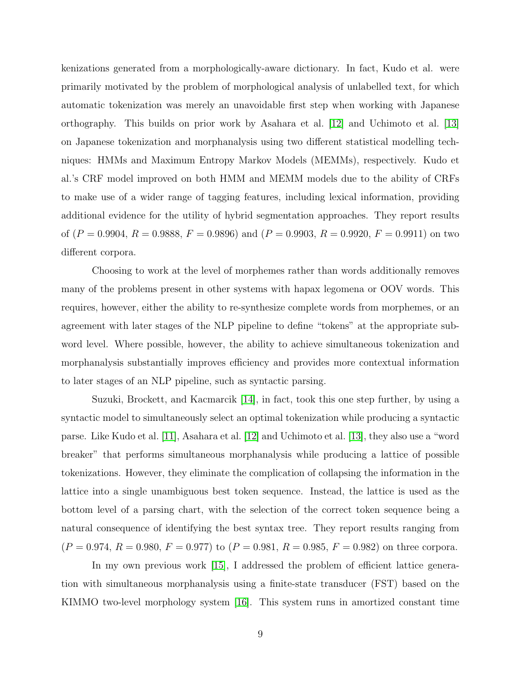<span id="page-16-0"></span>kenizations generated from a morphologically-aware dictionary. In fact, Kudo et al. were primarily motivated by the problem of morphological analysis of unlabelled text, for which automatic tokenization was merely an unavoidable first step when working with Japanese orthography. This builds on prior work by Asahara et al. [\[12\]](#page-52-0) and Uchimoto et al. [\[13\]](#page-52-1) on Japanese tokenization and morphanalysis using two different statistical modelling techniques: HMMs and Maximum Entropy Markov Models (MEMMs), respectively. Kudo et al.'s CRF model improved on both HMM and MEMM models due to the ability of CRFs to make use of a wider range of tagging features, including lexical information, providing additional evidence for the utility of hybrid segmentation approaches. They report results of  $(P = 0.9904, R = 0.9888, F = 0.9896)$  and  $(P = 0.9903, R = 0.9920, F = 0.9911)$  on two different corpora.

Choosing to work at the level of morphemes rather than words additionally removes many of the problems present in other systems with hapax legomena or OOV words. This requires, however, either the ability to re-synthesize complete words from morphemes, or an agreement with later stages of the NLP pipeline to define "tokens" at the appropriate subword level. Where possible, however, the ability to achieve simultaneous tokenization and morphanalysis substantially improves efficiency and provides more contextual information to later stages of an NLP pipeline, such as syntactic parsing.

Suzuki, Brockett, and Kacmarcik [\[14\]](#page-52-2), in fact, took this one step further, by using a syntactic model to simultaneously select an optimal tokenization while producing a syntactic parse. Like Kudo et al. [\[11\]](#page-51-11), Asahara et al. [\[12\]](#page-52-0) and Uchimoto et al. [\[13\]](#page-52-1), they also use a "word breaker" that performs simultaneous morphanalysis while producing a lattice of possible tokenizations. However, they eliminate the complication of collapsing the information in the lattice into a single unambiguous best token sequence. Instead, the lattice is used as the bottom level of a parsing chart, with the selection of the correct token sequence being a natural consequence of identifying the best syntax tree. They report results ranging from  $(P = 0.974, R = 0.980, F = 0.977)$  to  $(P = 0.981, R = 0.985, F = 0.982)$  on three corpora.

In my own previous work [\[15\]](#page-52-3), I addressed the problem of efficient lattice generation with simultaneous morphanalysis using a finite-state transducer (FST) based on the KIMMO two-level morphology system [\[16\]](#page-52-4). This system runs in amortized constant time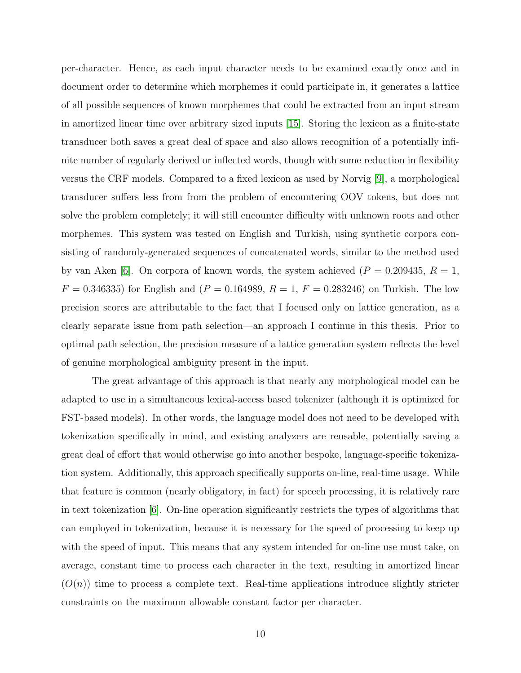<span id="page-17-0"></span>per-character. Hence, as each input character needs to be examined exactly once and in document order to determine which morphemes it could participate in, it generates a lattice of all possible sequences of known morphemes that could be extracted from an input stream in amortized linear time over arbitrary sized inputs [\[15\]](#page-52-3). Storing the lexicon as a finite-state transducer both saves a great deal of space and also allows recognition of a potentially infinite number of regularly derived or inflected words, though with some reduction in flexibility versus the CRF models. Compared to a fixed lexicon as used by Norvig [\[9\]](#page-51-9), a morphological transducer suffers less from from the problem of encountering OOV tokens, but does not solve the problem completely; it will still encounter difficulty with unknown roots and other morphemes. This system was tested on English and Turkish, using synthetic corpora consisting of randomly-generated sequences of concatenated words, similar to the method used by van Aken [\[6\]](#page-51-6). On corpora of known words, the system achieved ( $P = 0.209435, R = 1$ ,  $F = 0.346335$ ) for English and  $(P = 0.164989, R = 1, F = 0.283246)$  on Turkish. The low precision scores are attributable to the fact that I focused only on lattice generation, as a clearly separate issue from path selection—an approach I continue in this thesis. Prior to optimal path selection, the precision measure of a lattice generation system reflects the level of genuine morphological ambiguity present in the input.

The great advantage of this approach is that nearly any morphological model can be adapted to use in a simultaneous lexical-access based tokenizer (although it is optimized for FST-based models). In other words, the language model does not need to be developed with tokenization specifically in mind, and existing analyzers are reusable, potentially saving a great deal of effort that would otherwise go into another bespoke, language-specific tokenization system. Additionally, this approach specifically supports on-line, real-time usage. While that feature is common (nearly obligatory, in fact) for speech processing, it is relatively rare in text tokenization [\[6\]](#page-51-6). On-line operation significantly restricts the types of algorithms that can employed in tokenization, because it is necessary for the speed of processing to keep up with the speed of input. This means that any system intended for on-line use must take, on average, constant time to process each character in the text, resulting in amortized linear  $(O(n))$  time to process a complete text. Real-time applications introduce slightly stricter constraints on the maximum allowable constant factor per character.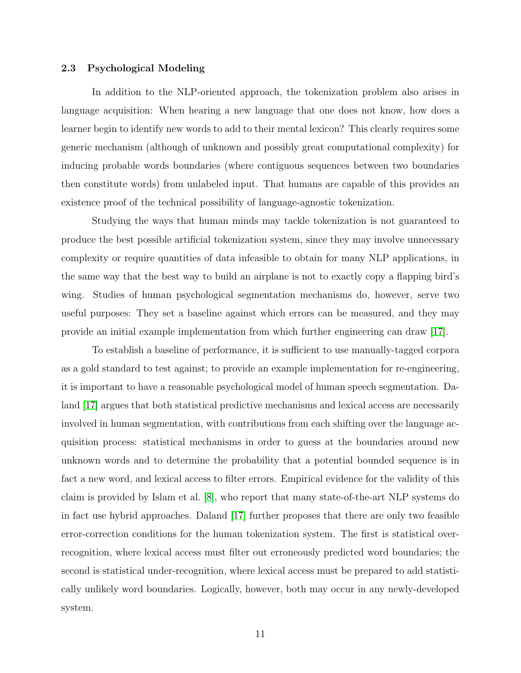#### <span id="page-18-1"></span><span id="page-18-0"></span>2.3 Psychological Modeling

In addition to the NLP-oriented approach, the tokenization problem also arises in language acquisition: When hearing a new language that one does not know, how does a learner begin to identify new words to add to their mental lexicon? This clearly requires some generic mechanism (although of unknown and possibly great computational complexity) for inducing probable words boundaries (where contiguous sequences between two boundaries then constitute words) from unlabeled input. That humans are capable of this provides an existence proof of the technical possibility of language-agnostic tokenization.

Studying the ways that human minds may tackle tokenization is not guaranteed to produce the best possible artificial tokenization system, since they may involve unnecessary complexity or require quantities of data infeasible to obtain for many NLP applications, in the same way that the best way to build an airplane is not to exactly copy a flapping bird's wing. Studies of human psychological segmentation mechanisms do, however, serve two useful purposes: They set a baseline against which errors can be measured, and they may provide an initial example implementation from which further engineering can draw [\[17\]](#page-52-5).

To establish a baseline of performance, it is sufficient to use manually-tagged corpora as a gold standard to test against; to provide an example implementation for re-engineering, it is important to have a reasonable psychological model of human speech segmentation. Daland [\[17\]](#page-52-5) argues that both statistical predictive mechanisms and lexical access are necessarily involved in human segmentation, with contributions from each shifting over the language acquisition process: statistical mechanisms in order to guess at the boundaries around new unknown words and to determine the probability that a potential bounded sequence is in fact a new word, and lexical access to filter errors. Empirical evidence for the validity of this claim is provided by Islam et al. [\[8\]](#page-51-8), who report that many state-of-the-art NLP systems do in fact use hybrid approaches. Daland [\[17\]](#page-52-5) further proposes that there are only two feasible error-correction conditions for the human tokenization system. The first is statistical overrecognition, where lexical access must filter out erroneously predicted word boundaries; the second is statistical under-recognition, where lexical access must be prepared to add statistically unlikely word boundaries. Logically, however, both may occur in any newly-developed system.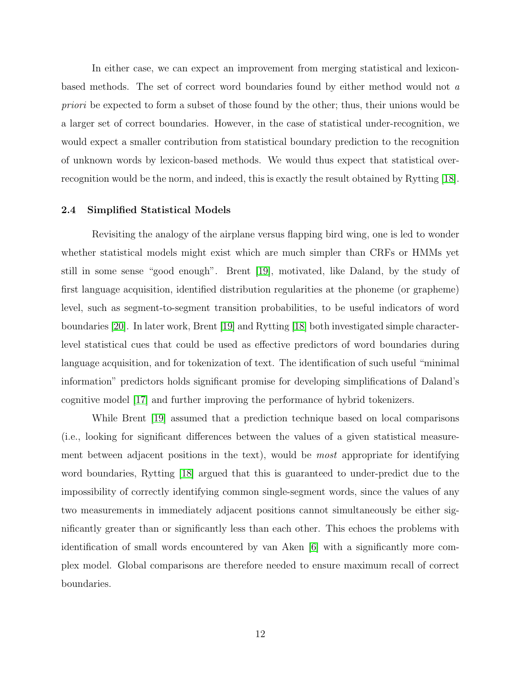<span id="page-19-1"></span>In either case, we can expect an improvement from merging statistical and lexiconbased methods. The set of correct word boundaries found by either method would not a priori be expected to form a subset of those found by the other; thus, their unions would be a larger set of correct boundaries. However, in the case of statistical under-recognition, we would expect a smaller contribution from statistical boundary prediction to the recognition of unknown words by lexicon-based methods. We would thus expect that statistical overrecognition would be the norm, and indeed, this is exactly the result obtained by Rytting [\[18\]](#page-52-6).

#### <span id="page-19-0"></span>2.4 Simplified Statistical Models

Revisiting the analogy of the airplane versus flapping bird wing, one is led to wonder whether statistical models might exist which are much simpler than CRFs or HMMs yet still in some sense "good enough". Brent [\[19\]](#page-52-7), motivated, like Daland, by the study of first language acquisition, identified distribution regularities at the phoneme (or grapheme) level, such as segment-to-segment transition probabilities, to be useful indicators of word boundaries [\[20\]](#page-52-8). In later work, Brent [\[19\]](#page-52-7) and Rytting [\[18\]](#page-52-6) both investigated simple characterlevel statistical cues that could be used as effective predictors of word boundaries during language acquisition, and for tokenization of text. The identification of such useful "minimal information" predictors holds significant promise for developing simplifications of Daland's cognitive model [\[17\]](#page-52-5) and further improving the performance of hybrid tokenizers.

While Brent [\[19\]](#page-52-7) assumed that a prediction technique based on local comparisons (i.e., looking for significant differences between the values of a given statistical measurement between adjacent positions in the text), would be most appropriate for identifying word boundaries, Rytting [\[18\]](#page-52-6) argued that this is guaranteed to under-predict due to the impossibility of correctly identifying common single-segment words, since the values of any two measurements in immediately adjacent positions cannot simultaneously be either significantly greater than or significantly less than each other. This echoes the problems with identification of small words encountered by van Aken [\[6\]](#page-51-6) with a significantly more complex model. Global comparisons are therefore needed to ensure maximum recall of correct boundaries.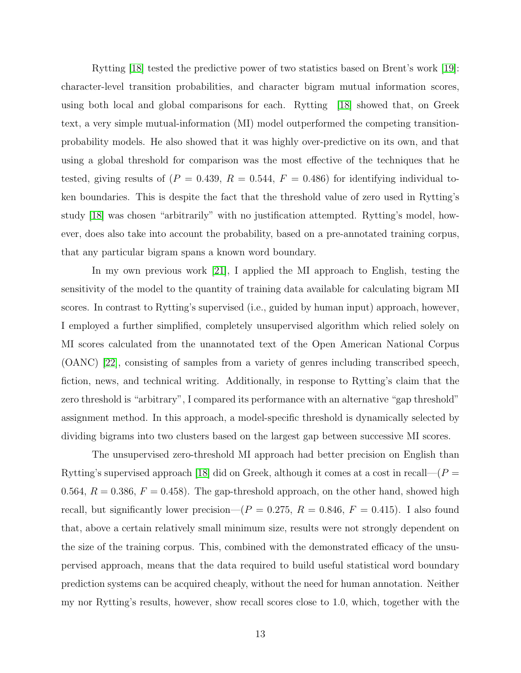<span id="page-20-0"></span>Rytting [\[18\]](#page-52-6) tested the predictive power of two statistics based on Brent's work [\[19\]](#page-52-7): character-level transition probabilities, and character bigram mutual information scores, using both local and global comparisons for each. Rytting [\[18\]](#page-52-6) showed that, on Greek text, a very simple mutual-information (MI) model outperformed the competing transitionprobability models. He also showed that it was highly over-predictive on its own, and that using a global threshold for comparison was the most effective of the techniques that he tested, giving results of ( $P = 0.439$ ,  $R = 0.544$ ,  $F = 0.486$ ) for identifying individual token boundaries. This is despite the fact that the threshold value of zero used in Rytting's study [\[18\]](#page-52-6) was chosen "arbitrarily" with no justification attempted. Rytting's model, however, does also take into account the probability, based on a pre-annotated training corpus, that any particular bigram spans a known word boundary.

In my own previous work [\[21\]](#page-52-9), I applied the MI approach to English, testing the sensitivity of the model to the quantity of training data available for calculating bigram MI scores. In contrast to Rytting's supervised (i.e., guided by human input) approach, however, I employed a further simplified, completely unsupervised algorithm which relied solely on MI scores calculated from the unannotated text of the Open American National Corpus (OANC) [\[22\]](#page-52-10), consisting of samples from a variety of genres including transcribed speech, fiction, news, and technical writing. Additionally, in response to Rytting's claim that the zero threshold is "arbitrary", I compared its performance with an alternative "gap threshold" assignment method. In this approach, a model-specific threshold is dynamically selected by dividing bigrams into two clusters based on the largest gap between successive MI scores.

The unsupervised zero-threshold MI approach had better precision on English than Rytting's supervised approach [\[18\]](#page-52-6) did on Greek, although it comes at a cost in recall— $(P =$ 0.564,  $R = 0.386$ ,  $F = 0.458$ ). The gap-threshold approach, on the other hand, showed high recall, but significantly lower precision— $(P = 0.275, R = 0.846, F = 0.415)$ . I also found that, above a certain relatively small minimum size, results were not strongly dependent on the size of the training corpus. This, combined with the demonstrated efficacy of the unsupervised approach, means that the data required to build useful statistical word boundary prediction systems can be acquired cheaply, without the need for human annotation. Neither my nor Rytting's results, however, show recall scores close to 1.0, which, together with the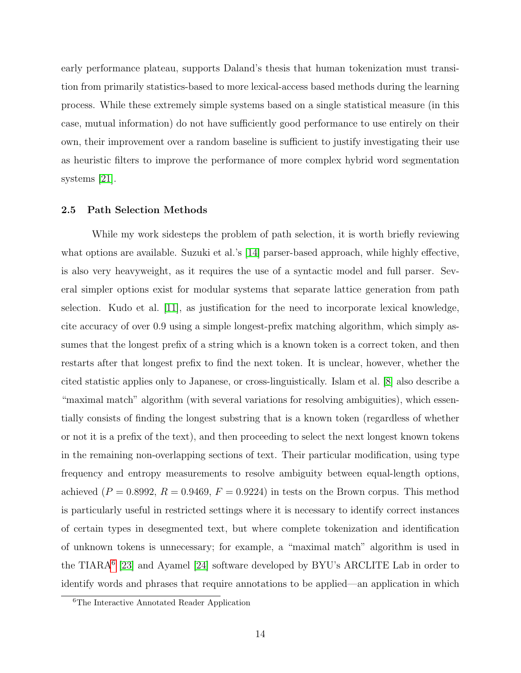<span id="page-21-2"></span>early performance plateau, supports Daland's thesis that human tokenization must transition from primarily statistics-based to more lexical-access based methods during the learning process. While these extremely simple systems based on a single statistical measure (in this case, mutual information) do not have sufficiently good performance to use entirely on their own, their improvement over a random baseline is sufficient to justify investigating their use as heuristic filters to improve the performance of more complex hybrid word segmentation systems [\[21\]](#page-52-9).

#### <span id="page-21-0"></span>2.5 Path Selection Methods

While my work sidesteps the problem of path selection, it is worth briefly reviewing what options are available. Suzuki et al.'s [\[14\]](#page-52-2) parser-based approach, while highly effective, is also very heavyweight, as it requires the use of a syntactic model and full parser. Several simpler options exist for modular systems that separate lattice generation from path selection. Kudo et al. [\[11\]](#page-51-11), as justification for the need to incorporate lexical knowledge, cite accuracy of over 0.9 using a simple longest-prefix matching algorithm, which simply assumes that the longest prefix of a string which is a known token is a correct token, and then restarts after that longest prefix to find the next token. It is unclear, however, whether the cited statistic applies only to Japanese, or cross-linguistically. Islam et al. [\[8\]](#page-51-8) also describe a "maximal match" algorithm (with several variations for resolving ambiguities), which essentially consists of finding the longest substring that is a known token (regardless of whether or not it is a prefix of the text), and then proceeding to select the next longest known tokens in the remaining non-overlapping sections of text. Their particular modification, using type frequency and entropy measurements to resolve ambiguity between equal-length options, achieved  $(P = 0.8992, R = 0.9469, F = 0.9224)$  in tests on the Brown corpus. This method is particularly useful in restricted settings where it is necessary to identify correct instances of certain types in desegmented text, but where complete tokenization and identification of unknown tokens is unnecessary; for example, a "maximal match" algorithm is used in the TIARA<sup>[6](#page-21-1)</sup> [\[23\]](#page-52-11) and Ayamel [\[24\]](#page-53-0) software developed by BYU's ARCLITE Lab in order to identify words and phrases that require annotations to be applied—an application in which

<span id="page-21-1"></span><sup>6</sup>The Interactive Annotated Reader Application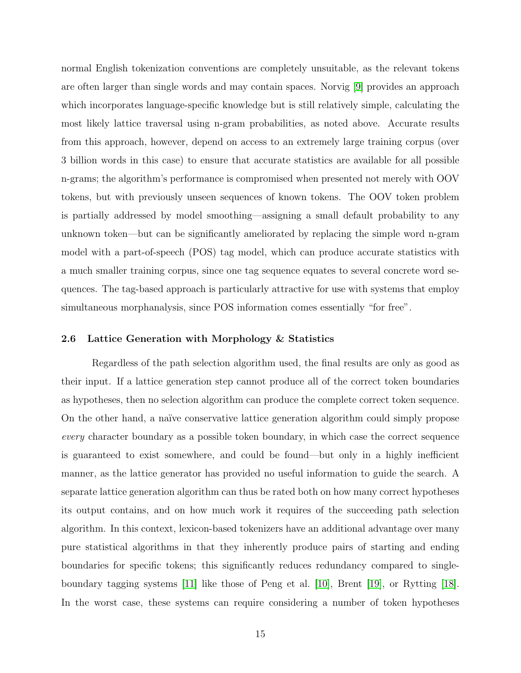<span id="page-22-1"></span>normal English tokenization conventions are completely unsuitable, as the relevant tokens are often larger than single words and may contain spaces. Norvig [\[9\]](#page-51-9) provides an approach which incorporates language-specific knowledge but is still relatively simple, calculating the most likely lattice traversal using n-gram probabilities, as noted above. Accurate results from this approach, however, depend on access to an extremely large training corpus (over 3 billion words in this case) to ensure that accurate statistics are available for all possible n-grams; the algorithm's performance is compromised when presented not merely with OOV tokens, but with previously unseen sequences of known tokens. The OOV token problem is partially addressed by model smoothing—assigning a small default probability to any unknown token—but can be significantly ameliorated by replacing the simple word n-gram model with a part-of-speech (POS) tag model, which can produce accurate statistics with a much smaller training corpus, since one tag sequence equates to several concrete word sequences. The tag-based approach is particularly attractive for use with systems that employ simultaneous morphanalysis, since POS information comes essentially "for free".

#### <span id="page-22-0"></span>2.6 Lattice Generation with Morphology & Statistics

Regardless of the path selection algorithm used, the final results are only as good as their input. If a lattice generation step cannot produce all of the correct token boundaries as hypotheses, then no selection algorithm can produce the complete correct token sequence. On the other hand, a naïve conservative lattice generation algorithm could simply propose every character boundary as a possible token boundary, in which case the correct sequence is guaranteed to exist somewhere, and could be found—but only in a highly inefficient manner, as the lattice generator has provided no useful information to guide the search. A separate lattice generation algorithm can thus be rated both on how many correct hypotheses its output contains, and on how much work it requires of the succeeding path selection algorithm. In this context, lexicon-based tokenizers have an additional advantage over many pure statistical algorithms in that they inherently produce pairs of starting and ending boundaries for specific tokens; this significantly reduces redundancy compared to singleboundary tagging systems [\[11\]](#page-51-11) like those of Peng et al. [\[10\]](#page-51-10), Brent [\[19\]](#page-52-7), or Rytting [\[18\]](#page-52-6). In the worst case, these systems can require considering a number of token hypotheses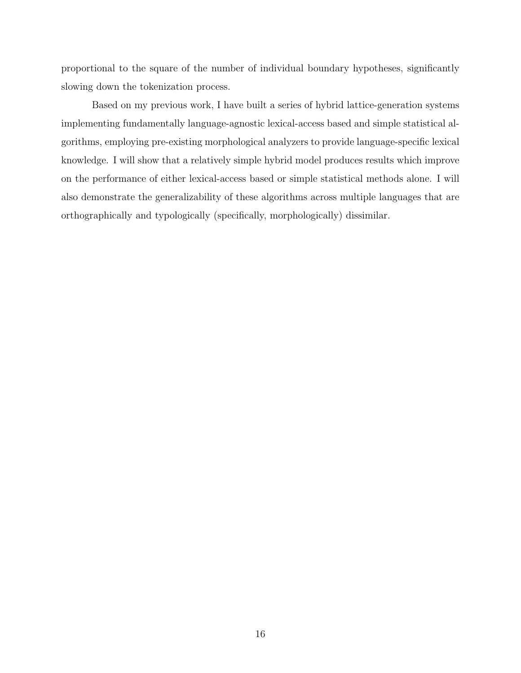proportional to the square of the number of individual boundary hypotheses, significantly slowing down the tokenization process.

Based on my previous work, I have built a series of hybrid lattice-generation systems implementing fundamentally language-agnostic lexical-access based and simple statistical algorithms, employing pre-existing morphological analyzers to provide language-specific lexical knowledge. I will show that a relatively simple hybrid model produces results which improve on the performance of either lexical-access based or simple statistical methods alone. I will also demonstrate the generalizability of these algorithms across multiple languages that are orthographically and typologically (specifically, morphologically) dissimilar.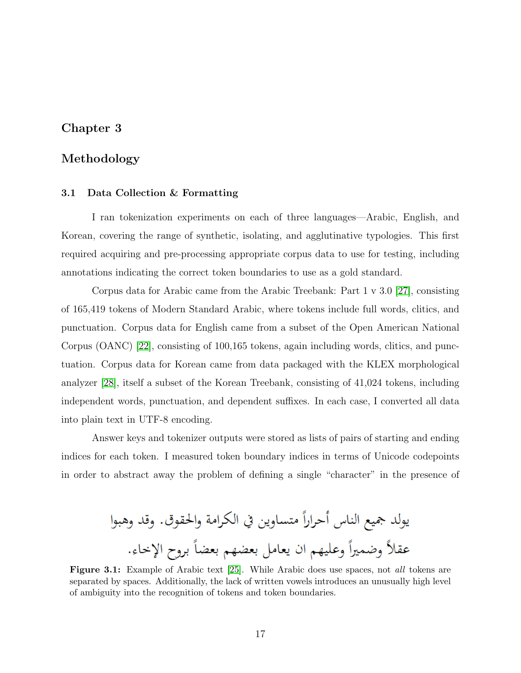# <span id="page-24-3"></span><span id="page-24-0"></span>Chapter 3

# Methodology

#### <span id="page-24-1"></span>3.1 Data Collection & Formatting

I ran tokenization experiments on each of three languages—Arabic, English, and Korean, covering the range of synthetic, isolating, and agglutinative typologies. This first required acquiring and pre-processing appropriate corpus data to use for testing, including annotations indicating the correct token boundaries to use as a gold standard.

Corpus data for Arabic came from the Arabic Treebank: Part 1 v 3.0 [\[27\]](#page-53-1), consisting of 165,419 tokens of Modern Standard Arabic, where tokens include full words, clitics, and punctuation. Corpus data for English came from a subset of the Open American National Corpus (OANC) [\[22\]](#page-52-10), consisting of 100,165 tokens, again including words, clitics, and punctuation. Corpus data for Korean came from data packaged with the KLEX morphological analyzer [\[28\]](#page-53-2), itself a subset of the Korean Treebank, consisting of 41,024 tokens, including independent words, punctuation, and dependent suffixes. In each case, I converted all data into plain text in UTF-8 encoding.

Answer keys and tokenizer outputs were stored as lists of pairs of starting and ending indices for each token. I measured token boundary indices in terms of Unicode codepoints in order to abstract away the problem of defining a single "character" in the presence of

<span id="page-24-2"></span>

Figure 3.1: Example of Arabic text [\[25\]](#page-53-3). While Arabic does use spaces, not all tokens are separated by spaces. Additionally, the lack of written vowels introduces an unusually high level of ambiguity into the recognition of tokens and token boundaries.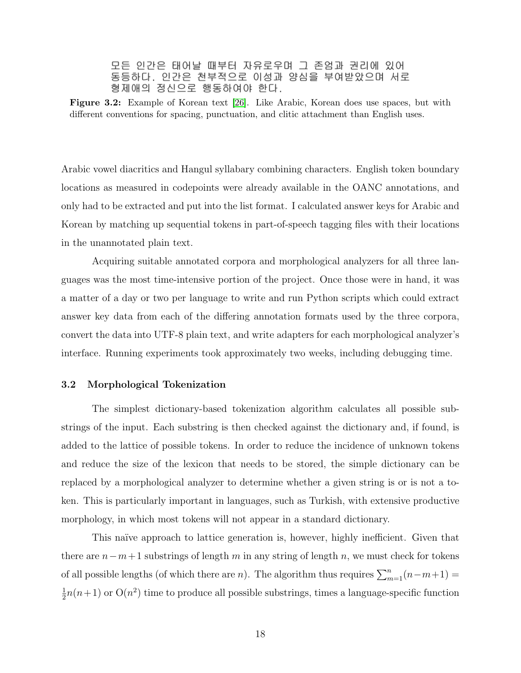<span id="page-25-1"></span>모든 인간은 태어날 때부터 자유로우며 그 존엄과 권리에 있어 동등하다. 인간은 천부적으로 이성과 양심을 부여받았으며 서로 형제애의 정신으로 행동하여야 한다.

<span id="page-25-2"></span>Figure 3.2: Example of Korean text [\[26\]](#page-53-4). Like Arabic, Korean does use spaces, but with different conventions for spacing, punctuation, and clitic attachment than English uses.

Arabic vowel diacritics and Hangul syllabary combining characters. English token boundary locations as measured in codepoints were already available in the OANC annotations, and only had to be extracted and put into the list format. I calculated answer keys for Arabic and Korean by matching up sequential tokens in part-of-speech tagging files with their locations in the unannotated plain text.

Acquiring suitable annotated corpora and morphological analyzers for all three languages was the most time-intensive portion of the project. Once those were in hand, it was a matter of a day or two per language to write and run Python scripts which could extract answer key data from each of the differing annotation formats used by the three corpora, convert the data into UTF-8 plain text, and write adapters for each morphological analyzer's interface. Running experiments took approximately two weeks, including debugging time.

#### <span id="page-25-0"></span>3.2 Morphological Tokenization

The simplest dictionary-based tokenization algorithm calculates all possible substrings of the input. Each substring is then checked against the dictionary and, if found, is added to the lattice of possible tokens. In order to reduce the incidence of unknown tokens and reduce the size of the lexicon that needs to be stored, the simple dictionary can be replaced by a morphological analyzer to determine whether a given string is or is not a token. This is particularly important in languages, such as Turkish, with extensive productive morphology, in which most tokens will not appear in a standard dictionary.

This naïve approach to lattice generation is, however, highly inefficient. Given that there are  $n-m+1$  substrings of length m in any string of length n, we must check for tokens of all possible lengths (of which there are *n*). The algorithm thus requires  $\sum_{m=1}^{n}(n-m+1)$  = 1  $\frac{1}{2}n(n+1)$  or  $O(n^2)$  time to produce all possible substrings, times a language-specific function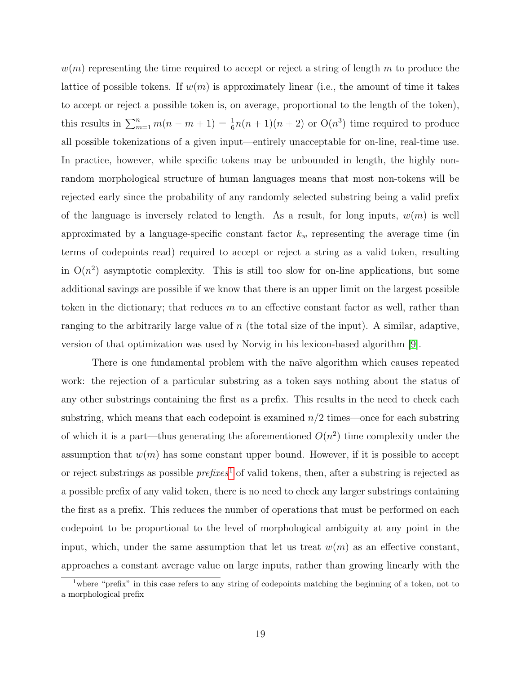<span id="page-26-1"></span> $w(m)$  representing the time required to accept or reject a string of length m to produce the lattice of possible tokens. If  $w(m)$  is approximately linear (i.e., the amount of time it takes to accept or reject a possible token is, on average, proportional to the length of the token), this results in  $\sum_{m=1}^{n} m(n-m+1) = \frac{1}{6}n(n+1)(n+2)$  or  $O(n^3)$  time required to produce all possible tokenizations of a given input—entirely unacceptable for on-line, real-time use. In practice, however, while specific tokens may be unbounded in length, the highly nonrandom morphological structure of human languages means that most non-tokens will be rejected early since the probability of any randomly selected substring being a valid prefix of the language is inversely related to length. As a result, for long inputs,  $w(m)$  is well approximated by a language-specific constant factor  $k_w$  representing the average time (in terms of codepoints read) required to accept or reject a string as a valid token, resulting in  $O(n^2)$  asymptotic complexity. This is still too slow for on-line applications, but some additional savings are possible if we know that there is an upper limit on the largest possible token in the dictionary; that reduces  $m$  to an effective constant factor as well, rather than ranging to the arbitrarily large value of  $n$  (the total size of the input). A similar, adaptive, version of that optimization was used by Norvig in his lexicon-based algorithm [\[9\]](#page-51-9).

There is one fundamental problem with the naïve algorithm which causes repeated work: the rejection of a particular substring as a token says nothing about the status of any other substrings containing the first as a prefix. This results in the need to check each substring, which means that each codepoint is examined  $n/2$  times—once for each substring of which it is a part—thus generating the aforementioned  $O(n^2)$  time complexity under the assumption that  $w(m)$  has some constant upper bound. However, if it is possible to accept or reject substrings as possible  $prefixes<sup>1</sup>$  $prefixes<sup>1</sup>$  $prefixes<sup>1</sup>$  of valid tokens, then, after a substring is rejected as a possible prefix of any valid token, there is no need to check any larger substrings containing the first as a prefix. This reduces the number of operations that must be performed on each codepoint to be proportional to the level of morphological ambiguity at any point in the input, which, under the same assumption that let us treat  $w(m)$  as an effective constant, approaches a constant average value on large inputs, rather than growing linearly with the

<span id="page-26-0"></span><sup>&</sup>lt;sup>1</sup>where "prefix" in this case refers to any string of codepoints matching the beginning of a token, not to a morphological prefix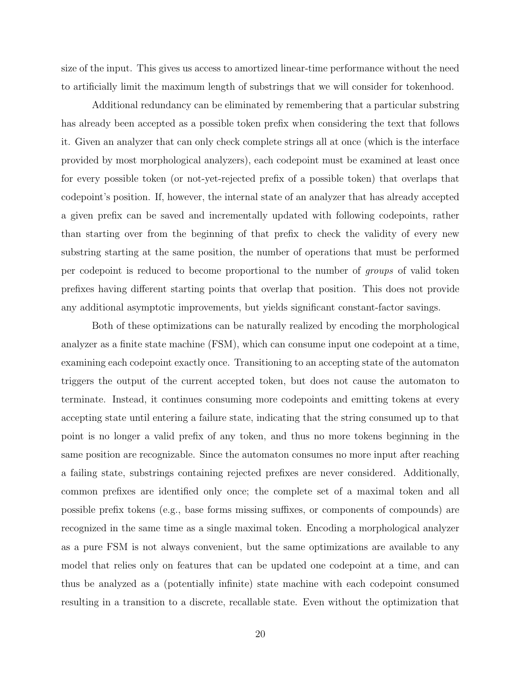size of the input. This gives us access to amortized linear-time performance without the need to artificially limit the maximum length of substrings that we will consider for tokenhood.

Additional redundancy can be eliminated by remembering that a particular substring has already been accepted as a possible token prefix when considering the text that follows it. Given an analyzer that can only check complete strings all at once (which is the interface provided by most morphological analyzers), each codepoint must be examined at least once for every possible token (or not-yet-rejected prefix of a possible token) that overlaps that codepoint's position. If, however, the internal state of an analyzer that has already accepted a given prefix can be saved and incrementally updated with following codepoints, rather than starting over from the beginning of that prefix to check the validity of every new substring starting at the same position, the number of operations that must be performed per codepoint is reduced to become proportional to the number of groups of valid token prefixes having different starting points that overlap that position. This does not provide any additional asymptotic improvements, but yields significant constant-factor savings.

Both of these optimizations can be naturally realized by encoding the morphological analyzer as a finite state machine (FSM), which can consume input one codepoint at a time, examining each codepoint exactly once. Transitioning to an accepting state of the automaton triggers the output of the current accepted token, but does not cause the automaton to terminate. Instead, it continues consuming more codepoints and emitting tokens at every accepting state until entering a failure state, indicating that the string consumed up to that point is no longer a valid prefix of any token, and thus no more tokens beginning in the same position are recognizable. Since the automaton consumes no more input after reaching a failing state, substrings containing rejected prefixes are never considered. Additionally, common prefixes are identified only once; the complete set of a maximal token and all possible prefix tokens (e.g., base forms missing suffixes, or components of compounds) are recognized in the same time as a single maximal token. Encoding a morphological analyzer as a pure FSM is not always convenient, but the same optimizations are available to any model that relies only on features that can be updated one codepoint at a time, and can thus be analyzed as a (potentially infinite) state machine with each codepoint consumed resulting in a transition to a discrete, recallable state. Even without the optimization that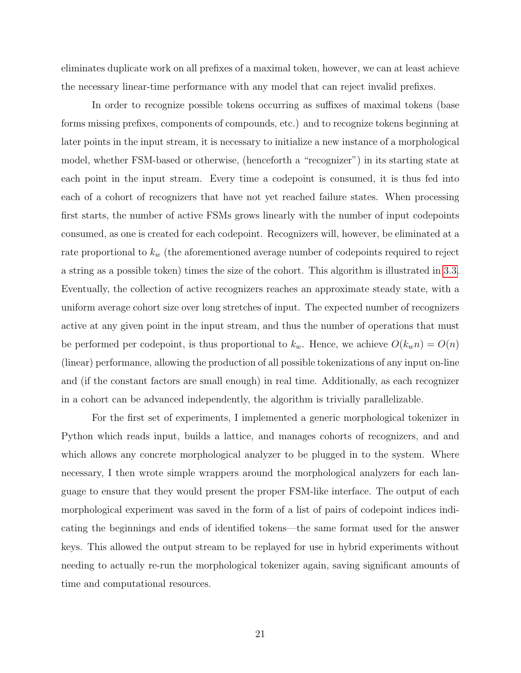eliminates duplicate work on all prefixes of a maximal token, however, we can at least achieve the necessary linear-time performance with any model that can reject invalid prefixes.

In order to recognize possible tokens occurring as suffixes of maximal tokens (base forms missing prefixes, components of compounds, etc.) and to recognize tokens beginning at later points in the input stream, it is necessary to initialize a new instance of a morphological model, whether FSM-based or otherwise, (henceforth a "recognizer") in its starting state at each point in the input stream. Every time a codepoint is consumed, it is thus fed into each of a cohort of recognizers that have not yet reached failure states. When processing first starts, the number of active FSMs grows linearly with the number of input codepoints consumed, as one is created for each codepoint. Recognizers will, however, be eliminated at a rate proportional to  $k_w$  (the aforementioned average number of codepoints required to reject a string as a possible token) times the size of the cohort. This algorithm is illustrated in [3.3.](#page-29-1) Eventually, the collection of active recognizers reaches an approximate steady state, with a uniform average cohort size over long stretches of input. The expected number of recognizers active at any given point in the input stream, and thus the number of operations that must be performed per codepoint, is thus proportional to  $k_w$ . Hence, we achieve  $O(k_w n) = O(n)$ (linear) performance, allowing the production of all possible tokenizations of any input on-line and (if the constant factors are small enough) in real time. Additionally, as each recognizer in a cohort can be advanced independently, the algorithm is trivially parallelizable.

For the first set of experiments, I implemented a generic morphological tokenizer in Python which reads input, builds a lattice, and manages cohorts of recognizers, and and which allows any concrete morphological analyzer to be plugged in to the system. Where necessary, I then wrote simple wrappers around the morphological analyzers for each language to ensure that they would present the proper FSM-like interface. The output of each morphological experiment was saved in the form of a list of pairs of codepoint indices indicating the beginnings and ends of identified tokens—the same format used for the answer keys. This allowed the output stream to be replayed for use in hybrid experiments without needing to actually re-run the morphological tokenizer again, saving significant amounts of time and computational resources.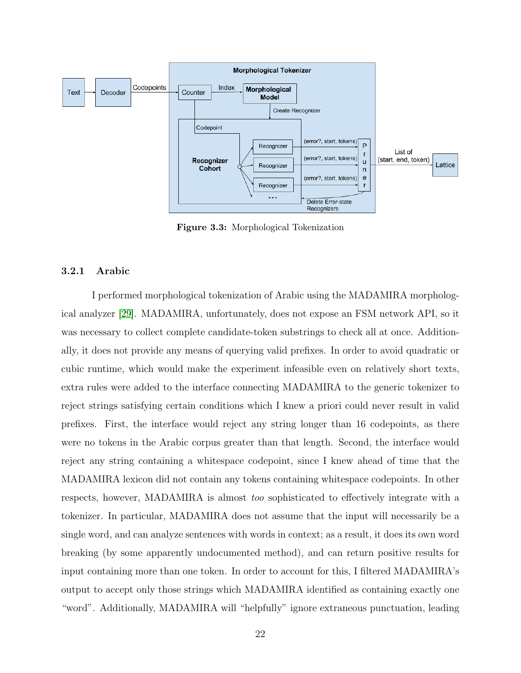<span id="page-29-2"></span>

<span id="page-29-1"></span>Figure 3.3: Morphological Tokenization

#### <span id="page-29-0"></span>3.2.1 Arabic

I performed morphological tokenization of Arabic using the MADAMIRA morphological analyzer [\[29\]](#page-53-5). MADAMIRA, unfortunately, does not expose an FSM network API, so it was necessary to collect complete candidate-token substrings to check all at once. Additionally, it does not provide any means of querying valid prefixes. In order to avoid quadratic or cubic runtime, which would make the experiment infeasible even on relatively short texts, extra rules were added to the interface connecting MADAMIRA to the generic tokenizer to reject strings satisfying certain conditions which I knew a priori could never result in valid prefixes. First, the interface would reject any string longer than 16 codepoints, as there were no tokens in the Arabic corpus greater than that length. Second, the interface would reject any string containing a whitespace codepoint, since I knew ahead of time that the MADAMIRA lexicon did not contain any tokens containing whitespace codepoints. In other respects, however, MADAMIRA is almost too sophisticated to effectively integrate with a tokenizer. In particular, MADAMIRA does not assume that the input will necessarily be a single word, and can analyze sentences with words in context; as a result, it does its own word breaking (by some apparently undocumented method), and can return positive results for input containing more than one token. In order to account for this, I filtered MADAMIRA's output to accept only those strings which MADAMIRA identified as containing exactly one "word". Additionally, MADAMIRA will "helpfully" ignore extraneous punctuation, leading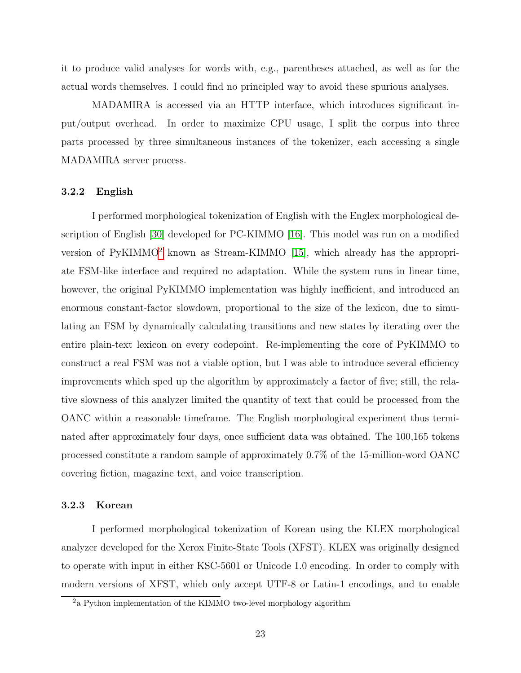<span id="page-30-3"></span>it to produce valid analyses for words with, e.g., parentheses attached, as well as for the actual words themselves. I could find no principled way to avoid these spurious analyses.

MADAMIRA is accessed via an HTTP interface, which introduces significant input/output overhead. In order to maximize CPU usage, I split the corpus into three parts processed by three simultaneous instances of the tokenizer, each accessing a single MADAMIRA server process.

#### <span id="page-30-0"></span>3.2.2 English

I performed morphological tokenization of English with the Englex morphological description of English [\[30\]](#page-53-6) developed for PC-KIMMO [\[16\]](#page-52-4). This model was run on a modified version of  $PyKIMMO<sup>2</sup>$  $PyKIMMO<sup>2</sup>$  $PyKIMMO<sup>2</sup>$  known as Stream-KIMMO [\[15\]](#page-52-3), which already has the appropriate FSM-like interface and required no adaptation. While the system runs in linear time, however, the original PyKIMMO implementation was highly inefficient, and introduced an enormous constant-factor slowdown, proportional to the size of the lexicon, due to simulating an FSM by dynamically calculating transitions and new states by iterating over the entire plain-text lexicon on every codepoint. Re-implementing the core of PyKIMMO to construct a real FSM was not a viable option, but I was able to introduce several efficiency improvements which sped up the algorithm by approximately a factor of five; still, the relative slowness of this analyzer limited the quantity of text that could be processed from the OANC within a reasonable timeframe. The English morphological experiment thus terminated after approximately four days, once sufficient data was obtained. The 100,165 tokens processed constitute a random sample of approximately 0.7% of the 15-million-word OANC covering fiction, magazine text, and voice transcription.

#### <span id="page-30-1"></span>3.2.3 Korean

I performed morphological tokenization of Korean using the KLEX morphological analyzer developed for the Xerox Finite-State Tools (XFST). KLEX was originally designed to operate with input in either KSC-5601 or Unicode 1.0 encoding. In order to comply with modern versions of XFST, which only accept UTF-8 or Latin-1 encodings, and to enable

<span id="page-30-2"></span><sup>2</sup>a Python implementation of the KIMMO two-level morphology algorithm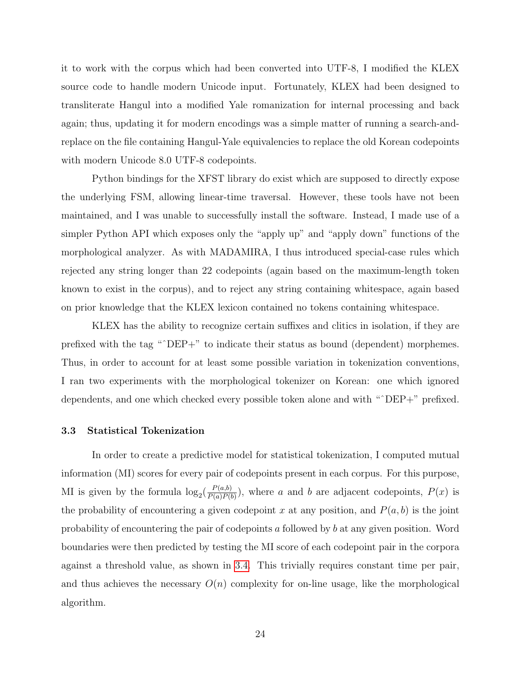it to work with the corpus which had been converted into UTF-8, I modified the KLEX source code to handle modern Unicode input. Fortunately, KLEX had been designed to transliterate Hangul into a modified Yale romanization for internal processing and back again; thus, updating it for modern encodings was a simple matter of running a search-andreplace on the file containing Hangul-Yale equivalencies to replace the old Korean codepoints with modern Unicode 8.0 UTF-8 codepoints.

Python bindings for the XFST library do exist which are supposed to directly expose the underlying FSM, allowing linear-time traversal. However, these tools have not been maintained, and I was unable to successfully install the software. Instead, I made use of a simpler Python API which exposes only the "apply up" and "apply down" functions of the morphological analyzer. As with MADAMIRA, I thus introduced special-case rules which rejected any string longer than 22 codepoints (again based on the maximum-length token known to exist in the corpus), and to reject any string containing whitespace, again based on prior knowledge that the KLEX lexicon contained no tokens containing whitespace.

KLEX has the ability to recognize certain suffixes and clitics in isolation, if they are prefixed with the tag "^DEP+" to indicate their status as bound (dependent) morphemes. Thus, in order to account for at least some possible variation in tokenization conventions, I ran two experiments with the morphological tokenizer on Korean: one which ignored dependents, and one which checked every possible token alone and with "ˆDEP+" prefixed.

#### <span id="page-31-0"></span>3.3 Statistical Tokenization

In order to create a predictive model for statistical tokenization, I computed mutual information (MI) scores for every pair of codepoints present in each corpus. For this purpose, MI is given by the formula  $\log_2(\frac{P(a,b)}{P(a)P(b)})$  $\frac{P(a,b)}{P(a)P(b)}$ , where a and b are adjacent codepoints,  $P(x)$  is the probability of encountering a given codepoint x at any position, and  $P(a, b)$  is the joint probability of encountering the pair of codepoints a followed by b at any given position. Word boundaries were then predicted by testing the MI score of each codepoint pair in the corpora against a threshold value, as shown in [3.4.](#page-33-1) This trivially requires constant time per pair, and thus achieves the necessary  $O(n)$  complexity for on-line usage, like the morphological algorithm.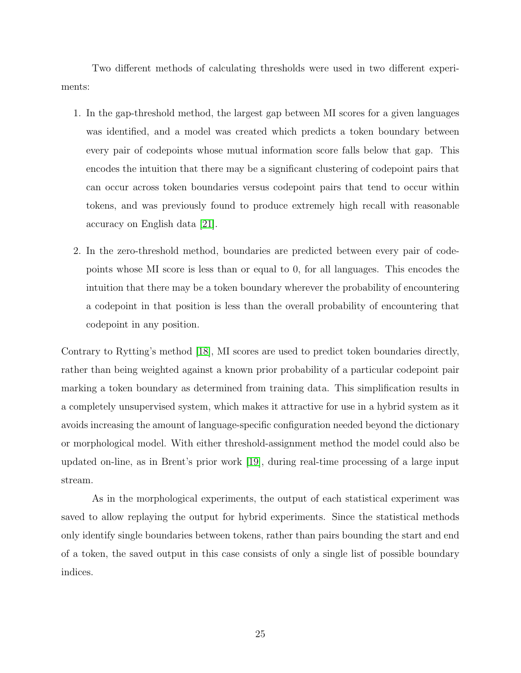<span id="page-32-0"></span>Two different methods of calculating thresholds were used in two different experiments:

- 1. In the gap-threshold method, the largest gap between MI scores for a given languages was identified, and a model was created which predicts a token boundary between every pair of codepoints whose mutual information score falls below that gap. This encodes the intuition that there may be a significant clustering of codepoint pairs that can occur across token boundaries versus codepoint pairs that tend to occur within tokens, and was previously found to produce extremely high recall with reasonable accuracy on English data [\[21\]](#page-52-9).
- 2. In the zero-threshold method, boundaries are predicted between every pair of codepoints whose MI score is less than or equal to 0, for all languages. This encodes the intuition that there may be a token boundary wherever the probability of encountering a codepoint in that position is less than the overall probability of encountering that codepoint in any position.

Contrary to Rytting's method [\[18\]](#page-52-6), MI scores are used to predict token boundaries directly, rather than being weighted against a known prior probability of a particular codepoint pair marking a token boundary as determined from training data. This simplification results in a completely unsupervised system, which makes it attractive for use in a hybrid system as it avoids increasing the amount of language-specific configuration needed beyond the dictionary or morphological model. With either threshold-assignment method the model could also be updated on-line, as in Brent's prior work [\[19\]](#page-52-7), during real-time processing of a large input stream.

As in the morphological experiments, the output of each statistical experiment was saved to allow replaying the output for hybrid experiments. Since the statistical methods only identify single boundaries between tokens, rather than pairs bounding the start and end of a token, the saved output in this case consists of only a single list of possible boundary indices.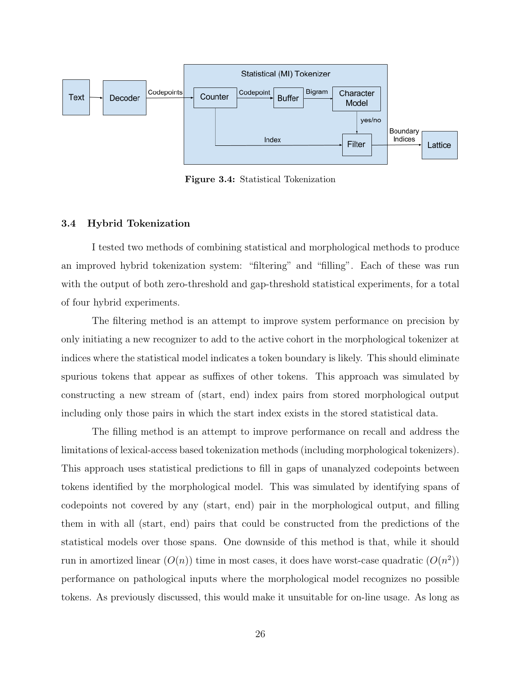

<span id="page-33-1"></span>Figure 3.4: Statistical Tokenization

#### <span id="page-33-0"></span>3.4 Hybrid Tokenization

I tested two methods of combining statistical and morphological methods to produce an improved hybrid tokenization system: "filtering" and "filling". Each of these was run with the output of both zero-threshold and gap-threshold statistical experiments, for a total of four hybrid experiments.

The filtering method is an attempt to improve system performance on precision by only initiating a new recognizer to add to the active cohort in the morphological tokenizer at indices where the statistical model indicates a token boundary is likely. This should eliminate spurious tokens that appear as suffixes of other tokens. This approach was simulated by constructing a new stream of (start, end) index pairs from stored morphological output including only those pairs in which the start index exists in the stored statistical data.

The filling method is an attempt to improve performance on recall and address the limitations of lexical-access based tokenization methods (including morphological tokenizers). This approach uses statistical predictions to fill in gaps of unanalyzed codepoints between tokens identified by the morphological model. This was simulated by identifying spans of codepoints not covered by any (start, end) pair in the morphological output, and filling them in with all (start, end) pairs that could be constructed from the predictions of the statistical models over those spans. One downside of this method is that, while it should run in amortized linear  $(O(n))$  time in most cases, it does have worst-case quadratic  $(O(n^2))$ performance on pathological inputs where the morphological model recognizes no possible tokens. As previously discussed, this would make it unsuitable for on-line usage. As long as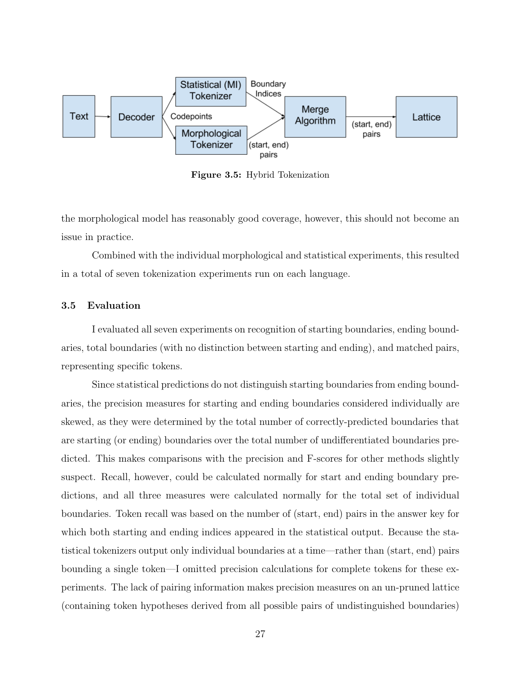

<span id="page-34-1"></span>Figure 3.5: Hybrid Tokenization

the morphological model has reasonably good coverage, however, this should not become an issue in practice.

Combined with the individual morphological and statistical experiments, this resulted in a total of seven tokenization experiments run on each language.

#### <span id="page-34-0"></span>3.5 Evaluation

I evaluated all seven experiments on recognition of starting boundaries, ending boundaries, total boundaries (with no distinction between starting and ending), and matched pairs, representing specific tokens.

Since statistical predictions do not distinguish starting boundaries from ending boundaries, the precision measures for starting and ending boundaries considered individually are skewed, as they were determined by the total number of correctly-predicted boundaries that are starting (or ending) boundaries over the total number of undifferentiated boundaries predicted. This makes comparisons with the precision and F-scores for other methods slightly suspect. Recall, however, could be calculated normally for start and ending boundary predictions, and all three measures were calculated normally for the total set of individual boundaries. Token recall was based on the number of (start, end) pairs in the answer key for which both starting and ending indices appeared in the statistical output. Because the statistical tokenizers output only individual boundaries at a time—rather than (start, end) pairs bounding a single token—I omitted precision calculations for complete tokens for these experiments. The lack of pairing information makes precision measures on an un-pruned lattice (containing token hypotheses derived from all possible pairs of undistinguished boundaries)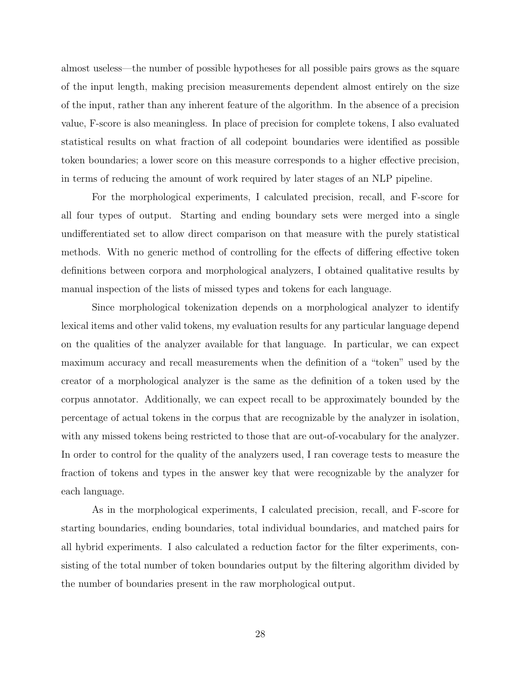almost useless—the number of possible hypotheses for all possible pairs grows as the square of the input length, making precision measurements dependent almost entirely on the size of the input, rather than any inherent feature of the algorithm. In the absence of a precision value, F-score is also meaningless. In place of precision for complete tokens, I also evaluated statistical results on what fraction of all codepoint boundaries were identified as possible token boundaries; a lower score on this measure corresponds to a higher effective precision, in terms of reducing the amount of work required by later stages of an NLP pipeline.

For the morphological experiments, I calculated precision, recall, and F-score for all four types of output. Starting and ending boundary sets were merged into a single undifferentiated set to allow direct comparison on that measure with the purely statistical methods. With no generic method of controlling for the effects of differing effective token definitions between corpora and morphological analyzers, I obtained qualitative results by manual inspection of the lists of missed types and tokens for each language.

Since morphological tokenization depends on a morphological analyzer to identify lexical items and other valid tokens, my evaluation results for any particular language depend on the qualities of the analyzer available for that language. In particular, we can expect maximum accuracy and recall measurements when the definition of a "token" used by the creator of a morphological analyzer is the same as the definition of a token used by the corpus annotator. Additionally, we can expect recall to be approximately bounded by the percentage of actual tokens in the corpus that are recognizable by the analyzer in isolation, with any missed tokens being restricted to those that are out-of-vocabulary for the analyzer. In order to control for the quality of the analyzers used, I ran coverage tests to measure the fraction of tokens and types in the answer key that were recognizable by the analyzer for each language.

As in the morphological experiments, I calculated precision, recall, and F-score for starting boundaries, ending boundaries, total individual boundaries, and matched pairs for all hybrid experiments. I also calculated a reduction factor for the filter experiments, consisting of the total number of token boundaries output by the filtering algorithm divided by the number of boundaries present in the raw morphological output.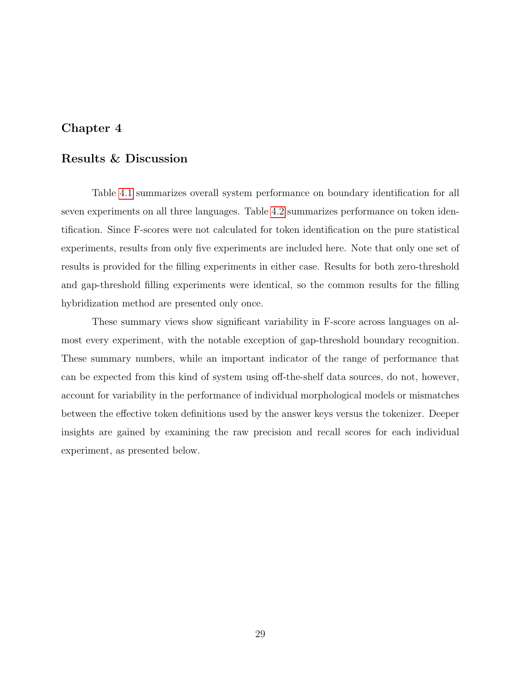# <span id="page-36-0"></span>Chapter 4

# Results & Discussion

Table [4.1](#page-37-1) summarizes overall system performance on boundary identification for all seven experiments on all three languages. Table [4.2](#page-37-2) summarizes performance on token identification. Since F-scores were not calculated for token identification on the pure statistical experiments, results from only five experiments are included here. Note that only one set of results is provided for the filling experiments in either case. Results for both zero-threshold and gap-threshold filling experiments were identical, so the common results for the filling hybridization method are presented only once.

These summary views show significant variability in F-score across languages on almost every experiment, with the notable exception of gap-threshold boundary recognition. These summary numbers, while an important indicator of the range of performance that can be expected from this kind of system using off-the-shelf data sources, do not, however, account for variability in the performance of individual morphological models or mismatches between the effective token definitions used by the answer keys versus the tokenizer. Deeper insights are gained by examining the raw precision and recall scores for each individual experiment, as presented below.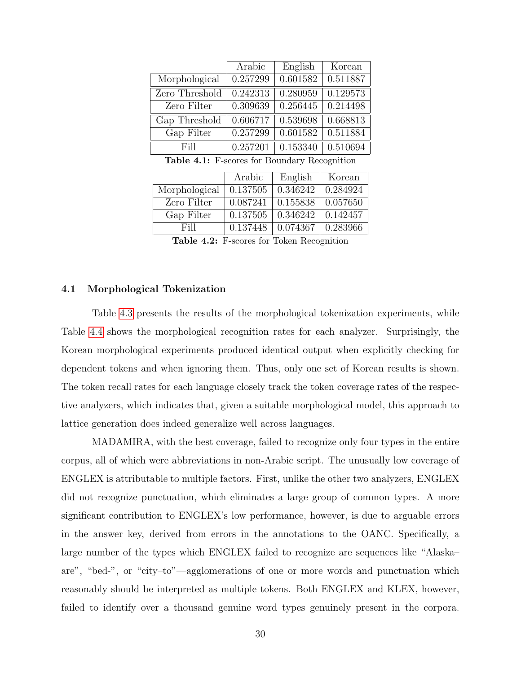|                | Arabic   | English  | Korean   |
|----------------|----------|----------|----------|
| Morphological  | 0.257299 | 0.601582 | 0.511887 |
| Zero Threshold | 0.242313 | 0.280959 | 0.129573 |
| Zero Filter    | 0.309639 | 0.256445 | 0.214498 |
| Gap Threshold  | 0.606717 | 0.539698 | 0.668813 |
| Gap Filter     | 0.257299 | 0.601582 | 0.511884 |
| Fill           | 0.257201 | 0.153340 | 0.510694 |

<span id="page-37-1"></span>Table 4.1: F-scores for Boundary Recognition

|               | Arabic   | English  | Korean   |
|---------------|----------|----------|----------|
| Morphological | 0.137505 | 0.346242 | 0.284924 |
| Zero Filter   | 0.087241 | 0.155838 | 0.057650 |
| Gap Filter    | 0.137505 | 0.346242 | 0.142457 |
| Fill          | 0.137448 | 0.074367 | 0.283966 |

<span id="page-37-2"></span>Table 4.2: F-scores for Token Recognition

#### <span id="page-37-0"></span>4.1 Morphological Tokenization

Table [4.3](#page-38-0) presents the results of the morphological tokenization experiments, while Table [4.4](#page-38-1) shows the morphological recognition rates for each analyzer. Surprisingly, the Korean morphological experiments produced identical output when explicitly checking for dependent tokens and when ignoring them. Thus, only one set of Korean results is shown. The token recall rates for each language closely track the token coverage rates of the respective analyzers, which indicates that, given a suitable morphological model, this approach to lattice generation does indeed generalize well across languages.

MADAMIRA, with the best coverage, failed to recognize only four types in the entire corpus, all of which were abbreviations in non-Arabic script. The unusually low coverage of ENGLEX is attributable to multiple factors. First, unlike the other two analyzers, ENGLEX did not recognize punctuation, which eliminates a large group of common types. A more significant contribution to ENGLEX's low performance, however, is due to arguable errors in the answer key, derived from errors in the annotations to the OANC. Specifically, a large number of the types which ENGLEX failed to recognize are sequences like "Alaska– are", "bed-", or "city–to"—agglomerations of one or more words and punctuation which reasonably should be interpreted as multiple tokens. Both ENGLEX and KLEX, however, failed to identify over a thousand genuine word types genuinely present in the corpora.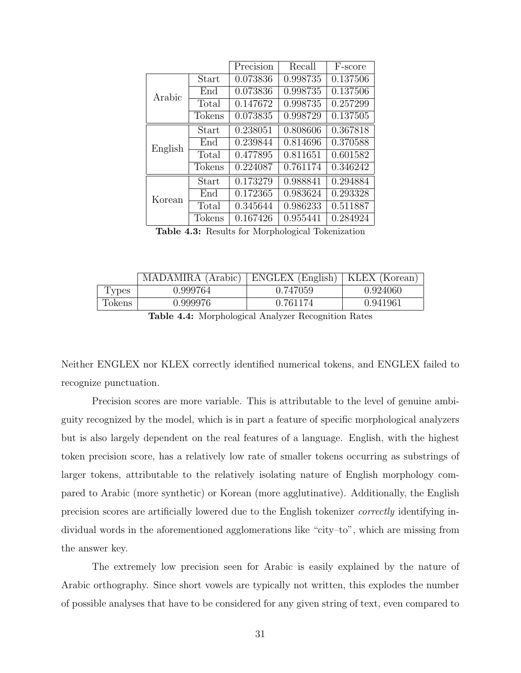|         |        | Precision | Recall   | F-score  |
|---------|--------|-----------|----------|----------|
|         | Start  | 0.073836  | 0.998735 | 0.137506 |
| Arabic  | End    | 0.073836  | 0.998735 | 0.137506 |
|         | Total  | 0.147672  | 0.998735 | 0.257299 |
|         | Tokens | 0.073835  | 0.998729 | 0.137505 |
|         | Start  | 0.238051  | 0.808606 | 0.367818 |
| English | End    | 0.239844  | 0.814696 | 0.370588 |
|         | Total  | 0.477895  | 0.811651 | 0.601582 |
|         | Tokens | 0.224087  | 0.761174 | 0.346242 |
|         | Start  | 0.173279  | 0.988841 | 0.294884 |
| Korean  | End    | 0.172365  | 0.983624 | 0.293328 |
|         | Total  | 0.345644  | 0.986233 | 0.511887 |
|         | Tokens | 0.167426  | 0.955441 | 0.284924 |

<span id="page-38-0"></span>Table 4.3: Results for Morphological Tokenization

|        | MADAMIRA (Arabic) | ENGLEX (English)   KLEX (Korean) |          |
|--------|-------------------|----------------------------------|----------|
| Types  | 0.999764          | 0.747059                         | 0.924060 |
| Tokens | 0.999976          | 0.761174                         | 0.941961 |
|        |                   |                                  |          |

<span id="page-38-1"></span>Table 4.4: Morphological Analyzer Recognition Rates

Neither ENGLEX nor KLEX correctly identified numerical tokens, and ENGLEX failed to recognize punctuation.

Precision scores are more variable. This is attributable to the level of genuine ambiguity recognized by the model, which is in part a feature of specific morphological analyzers but is also largely dependent on the real features of a language. English, with the highest token precision score, has a relatively low rate of smaller tokens occurring as substrings of larger tokens, attributable to the relatively isolating nature of English morphology compared to Arabic (more synthetic) or Korean (more agglutinative). Additionally, the English precision scores are artificially lowered due to the English tokenizer correctly identifying individual words in the aforementioned agglomerations like "city–to", which are missing from the answer key.

The extremely low precision seen for Arabic is easily explained by the nature of Arabic orthography. Since short vowels are typically not written, this explodes the number of possible analyses that have to be considered for any given string of text, even compared to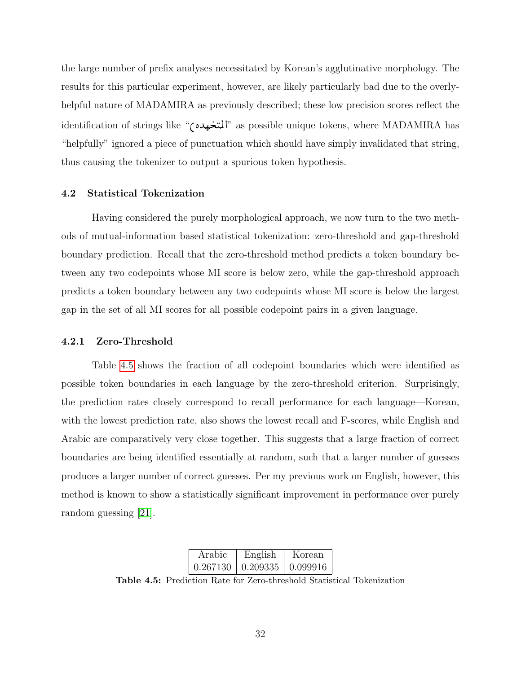<span id="page-39-3"></span>the large number of prefix analyses necessitated by Korean's agglutinative morphology. The results for this particular experiment, however, are likely particularly bad due to the overlyhelpful nature of MADAMIRA as previously described; these low precision scores reflect the identification of strings like "المتخهده" as possible unique tokens, where MADAMIRA has J "helpfully" ignored a piece of punctuation which should have simply invalidated that string, thus causing the tokenizer to output a spurious token hypothesis.

#### <span id="page-39-0"></span>4.2 Statistical Tokenization

Having considered the purely morphological approach, we now turn to the two methods of mutual-information based statistical tokenization: zero-threshold and gap-threshold boundary prediction. Recall that the zero-threshold method predicts a token boundary between any two codepoints whose MI score is below zero, while the gap-threshold approach predicts a token boundary between any two codepoints whose MI score is below the largest gap in the set of all MI scores for all possible codepoint pairs in a given language.

#### <span id="page-39-1"></span>4.2.1 Zero-Threshold

Table [4.5](#page-39-2) shows the fraction of all codepoint boundaries which were identified as possible token boundaries in each language by the zero-threshold criterion. Surprisingly, the prediction rates closely correspond to recall performance for each language—Korean, with the lowest prediction rate, also shows the lowest recall and F-scores, while English and Arabic are comparatively very close together. This suggests that a large fraction of correct boundaries are being identified essentially at random, such that a larger number of guesses produces a larger number of correct guesses. Per my previous work on English, however, this method is known to show a statistically significant improvement in performance over purely random guessing [\[21\]](#page-52-9).

<span id="page-39-2"></span>

| Arabic   | English | Korean                  |
|----------|---------|-------------------------|
| 0.267130 |         | $0.209335 \pm 0.099916$ |

Table 4.5: Prediction Rate for Zero-threshold Statistical Tokenization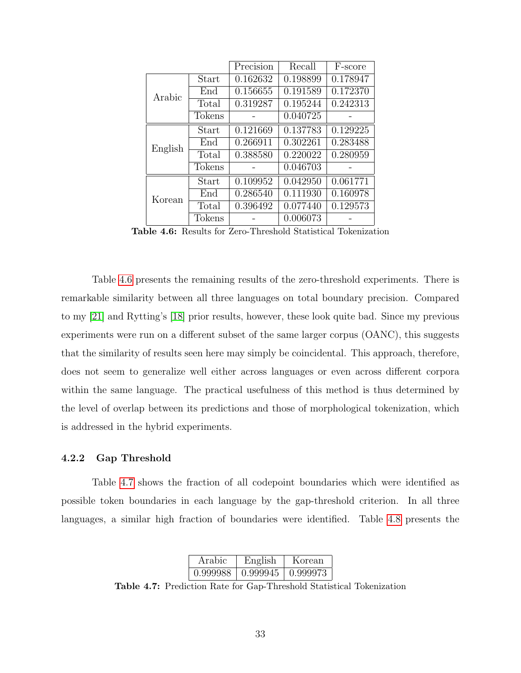<span id="page-40-3"></span>

|         |        | Precision | Recall   | F-score  |
|---------|--------|-----------|----------|----------|
|         | Start  | 0.162632  | 0.198899 | 0.178947 |
| Arabic  | End    | 0.156655  | 0.191589 | 0.172370 |
|         | Total  | 0.319287  | 0.195244 | 0.242313 |
|         | Tokens |           | 0.040725 |          |
|         | Start  | 0.121669  | 0.137783 | 0.129225 |
| English | End    | 0.266911  | 0.302261 | 0.283488 |
|         | Total  | 0.388580  | 0.220022 | 0.280959 |
|         | Tokens |           | 0.046703 |          |
|         | Start  | 0.109952  | 0.042950 | 0.061771 |
| Korean  | End    | 0.286540  | 0.111930 | 0.160978 |
|         | Total  | 0.396492  | 0.077440 | 0.129573 |
|         | Tokens |           | 0.006073 |          |

<span id="page-40-1"></span>Table 4.6: Results for Zero-Threshold Statistical Tokenization

Table [4.6](#page-40-1) presents the remaining results of the zero-threshold experiments. There is remarkable similarity between all three languages on total boundary precision. Compared to my [\[21\]](#page-52-9) and Rytting's [\[18\]](#page-52-6) prior results, however, these look quite bad. Since my previous experiments were run on a different subset of the same larger corpus (OANC), this suggests that the similarity of results seen here may simply be coincidental. This approach, therefore, does not seem to generalize well either across languages or even across different corpora within the same language. The practical usefulness of this method is thus determined by the level of overlap between its predictions and those of morphological tokenization, which is addressed in the hybrid experiments.

#### <span id="page-40-0"></span>4.2.2 Gap Threshold

Table [4.7](#page-40-2) shows the fraction of all codepoint boundaries which were identified as possible token boundaries in each language by the gap-threshold criterion. In all three languages, a similar high fraction of boundaries were identified. Table [4.8](#page-41-0) presents the

<span id="page-40-2"></span>

| Arabic   | English  | Korean   |
|----------|----------|----------|
| 0.999988 | 0.999945 | 0.999973 |

Table 4.7: Prediction Rate for Gap-Threshold Statistical Tokenization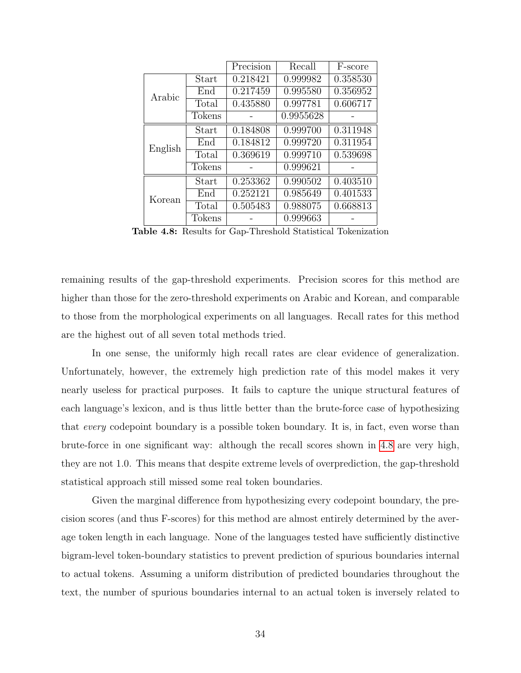|         |        | Precision | Recall    | F-score  |
|---------|--------|-----------|-----------|----------|
|         | Start  | 0.218421  | 0.999982  | 0.358530 |
| Arabic  | End    | 0.217459  | 0.995580  | 0.356952 |
|         | Total  | 0.435880  | 0.997781  | 0.606717 |
|         | Tokens |           | 0.9955628 |          |
|         | Start  | 0.184808  | 0.999700  | 0.311948 |
| English | End    | 0.184812  | 0.999720  | 0.311954 |
|         | Total  | 0.369619  | 0.999710  | 0.539698 |
|         | Tokens |           | 0.999621  |          |
|         | Start  | 0.253362  | 0.990502  | 0.403510 |
| Korean  | End    | 0.252121  | 0.985649  | 0.401533 |
|         | Total  | 0.505483  | 0.988075  | 0.668813 |
|         | Tokens |           | 0.999663  |          |

<span id="page-41-0"></span>Table 4.8: Results for Gap-Threshold Statistical Tokenization

remaining results of the gap-threshold experiments. Precision scores for this method are higher than those for the zero-threshold experiments on Arabic and Korean, and comparable to those from the morphological experiments on all languages. Recall rates for this method are the highest out of all seven total methods tried.

In one sense, the uniformly high recall rates are clear evidence of generalization. Unfortunately, however, the extremely high prediction rate of this model makes it very nearly useless for practical purposes. It fails to capture the unique structural features of each language's lexicon, and is thus little better than the brute-force case of hypothesizing that every codepoint boundary is a possible token boundary. It is, in fact, even worse than brute-force in one significant way: although the recall scores shown in [4.8](#page-41-0) are very high, they are not 1.0. This means that despite extreme levels of overprediction, the gap-threshold statistical approach still missed some real token boundaries.

Given the marginal difference from hypothesizing every codepoint boundary, the precision scores (and thus F-scores) for this method are almost entirely determined by the average token length in each language. None of the languages tested have sufficiently distinctive bigram-level token-boundary statistics to prevent prediction of spurious boundaries internal to actual tokens. Assuming a uniform distribution of predicted boundaries throughout the text, the number of spurious boundaries internal to an actual token is inversely related to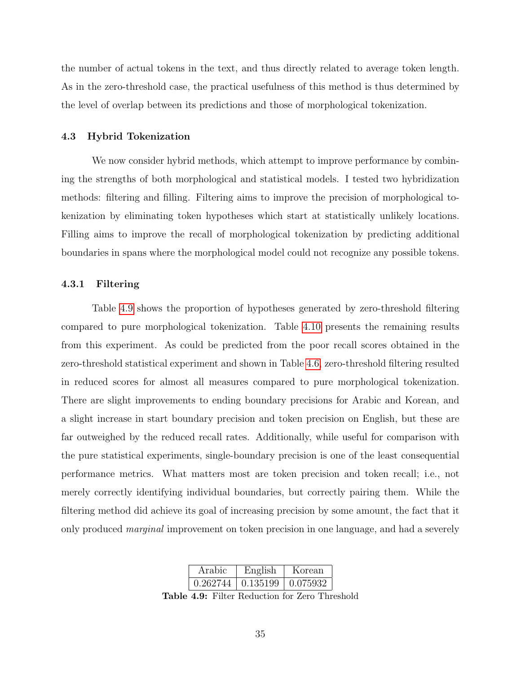the number of actual tokens in the text, and thus directly related to average token length. As in the zero-threshold case, the practical usefulness of this method is thus determined by the level of overlap between its predictions and those of morphological tokenization.

#### <span id="page-42-0"></span>4.3 Hybrid Tokenization

We now consider hybrid methods, which attempt to improve performance by combining the strengths of both morphological and statistical models. I tested two hybridization methods: filtering and filling. Filtering aims to improve the precision of morphological tokenization by eliminating token hypotheses which start at statistically unlikely locations. Filling aims to improve the recall of morphological tokenization by predicting additional boundaries in spans where the morphological model could not recognize any possible tokens.

#### <span id="page-42-1"></span>4.3.1 Filtering

Table [4.9](#page-42-2) shows the proportion of hypotheses generated by zero-threshold filtering compared to pure morphological tokenization. Table [4.10](#page-43-0) presents the remaining results from this experiment. As could be predicted from the poor recall scores obtained in the zero-threshold statistical experiment and shown in Table [4.6,](#page-40-1) zero-threshold filtering resulted in reduced scores for almost all measures compared to pure morphological tokenization. There are slight improvements to ending boundary precisions for Arabic and Korean, and a slight increase in start boundary precision and token precision on English, but these are far outweighed by the reduced recall rates. Additionally, while useful for comparison with the pure statistical experiments, single-boundary precision is one of the least consequential performance metrics. What matters most are token precision and token recall; i.e., not merely correctly identifying individual boundaries, but correctly pairing them. While the filtering method did achieve its goal of increasing precision by some amount, the fact that it only produced marginal improvement on token precision in one language, and had a severely

<span id="page-42-2"></span>

| Arabic   | English                 | Korean |
|----------|-------------------------|--------|
| 0.262744 | $0.135199$   $0.075932$ |        |

Table 4.9: Filter Reduction for Zero Threshold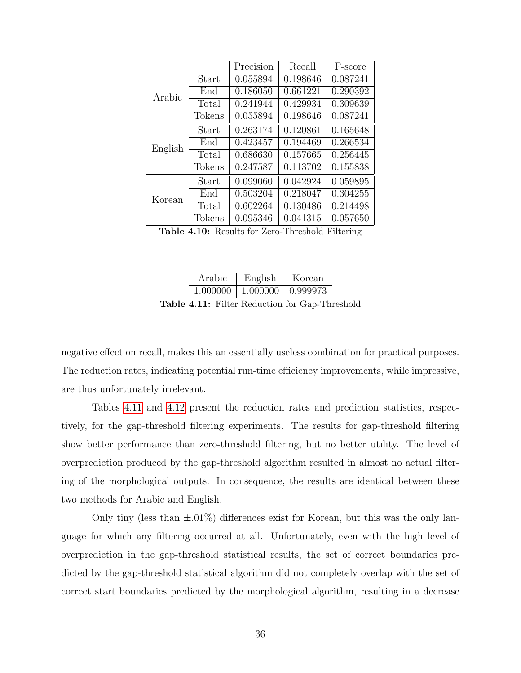|         |               | Precision | Recall   | F-score  |
|---------|---------------|-----------|----------|----------|
| Arabic  | Start         | 0.055894  | 0.198646 | 0.087241 |
|         | End           | 0.186050  | 0.661221 | 0.290392 |
|         | Total         | 0.241944  | 0.429934 | 0.309639 |
|         | <b>Tokens</b> | 0.055894  | 0.198646 | 0.087241 |
| English | Start         | 0.263174  | 0.120861 | 0.165648 |
|         | End           | 0.423457  | 0.194469 | 0.266534 |
|         | Total         | 0.686630  | 0.157665 | 0.256445 |
|         | Tokens        | 0.247587  | 0.113702 | 0.155838 |
| Korean  | Start         | 0.099060  | 0.042924 | 0.059895 |
|         | End           | 0.503204  | 0.218047 | 0.304255 |
|         | Total         | 0.602264  | 0.130486 | 0.214498 |
|         | Tokens        | 0.095346  | 0.041315 | 0.057650 |

<span id="page-43-0"></span>Table 4.10: Results for Zero-Threshold Filtering

<span id="page-43-1"></span>

| Arabic   | English  | Korean   |
|----------|----------|----------|
| 1.000000 | 1.000000 | 0.999973 |

Table 4.11: Filter Reduction for Gap-Threshold

negative effect on recall, makes this an essentially useless combination for practical purposes. The reduction rates, indicating potential run-time efficiency improvements, while impressive, are thus unfortunately irrelevant.

Tables [4.11](#page-43-1) and [4.12](#page-44-1) present the reduction rates and prediction statistics, respectively, for the gap-threshold filtering experiments. The results for gap-threshold filtering show better performance than zero-threshold filtering, but no better utility. The level of overprediction produced by the gap-threshold algorithm resulted in almost no actual filtering of the morphological outputs. In consequence, the results are identical between these two methods for Arabic and English.

Only tiny (less than  $\pm 0.01\%$ ) differences exist for Korean, but this was the only language for which any filtering occurred at all. Unfortunately, even with the high level of overprediction in the gap-threshold statistical results, the set of correct boundaries predicted by the gap-threshold statistical algorithm did not completely overlap with the set of correct start boundaries predicted by the morphological algorithm, resulting in a decrease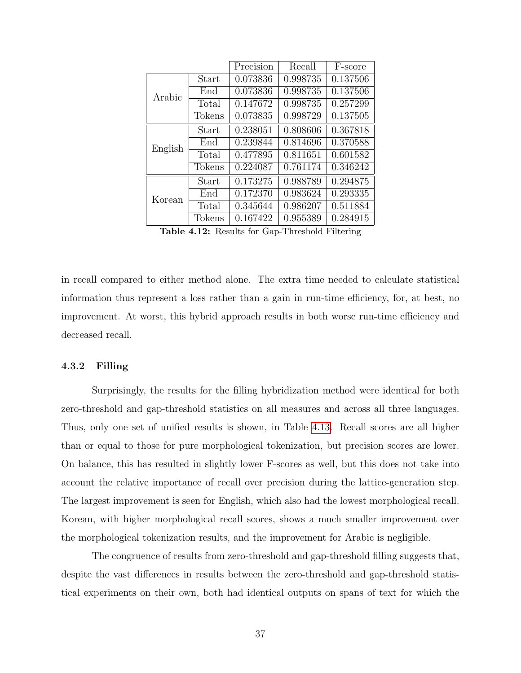|         |               | Precision | Recall   | F-score  |
|---------|---------------|-----------|----------|----------|
| Arabic  | Start         | 0.073836  | 0.998735 | 0.137506 |
|         | End           | 0.073836  | 0.998735 | 0.137506 |
|         | Total         | 0.147672  | 0.998735 | 0.257299 |
|         | <b>Tokens</b> | 0.073835  | 0.998729 | 0.137505 |
| English | Start         | 0.238051  | 0.808606 | 0.367818 |
|         | End           | 0.239844  | 0.814696 | 0.370588 |
|         | Total         | 0.477895  | 0.811651 | 0.601582 |
|         | <b>Tokens</b> | 0.224087  | 0.761174 | 0.346242 |
| Korean  | Start         | 0.173275  | 0.988789 | 0.294875 |
|         | End           | 0.172370  | 0.983624 | 0.293335 |
|         | Total         | 0.345644  | 0.986207 | 0.511884 |
|         | Tokens        | 0.167422  | 0.955389 | 0.284915 |

<span id="page-44-1"></span>Table 4.12: Results for Gap-Threshold Filtering

in recall compared to either method alone. The extra time needed to calculate statistical information thus represent a loss rather than a gain in run-time efficiency, for, at best, no improvement. At worst, this hybrid approach results in both worse run-time efficiency and decreased recall.

#### <span id="page-44-0"></span>4.3.2 Filling

Surprisingly, the results for the filling hybridization method were identical for both zero-threshold and gap-threshold statistics on all measures and across all three languages. Thus, only one set of unified results is shown, in Table [4.13.](#page-45-0) Recall scores are all higher than or equal to those for pure morphological tokenization, but precision scores are lower. On balance, this has resulted in slightly lower F-scores as well, but this does not take into account the relative importance of recall over precision during the lattice-generation step. The largest improvement is seen for English, which also had the lowest morphological recall. Korean, with higher morphological recall scores, shows a much smaller improvement over the morphological tokenization results, and the improvement for Arabic is negligible.

The congruence of results from zero-threshold and gap-threshold filling suggests that, despite the vast differences in results between the zero-threshold and gap-threshold statistical experiments on their own, both had identical outputs on spans of text for which the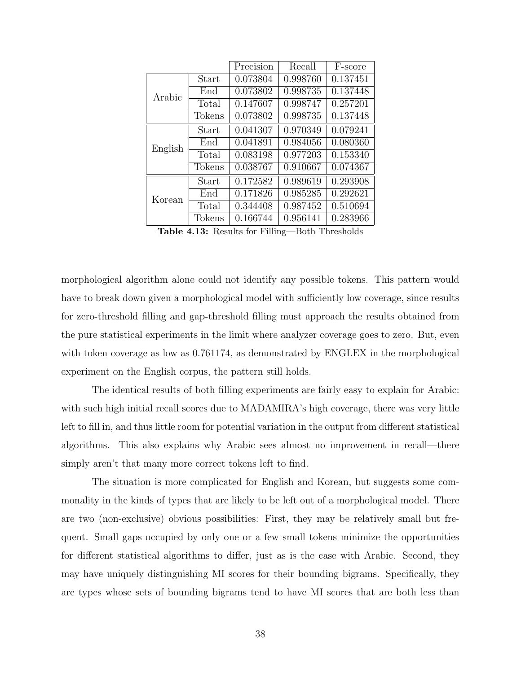|         |               | Precision | Recall   | F-score  |
|---------|---------------|-----------|----------|----------|
| Arabic  | Start         | 0.073804  | 0.998760 | 0.137451 |
|         | End           | 0.073802  | 0.998735 | 0.137448 |
|         | Total         | 0.147607  | 0.998747 | 0.257201 |
|         | <b>Tokens</b> | 0.073802  | 0.998735 | 0.137448 |
| English | Start         | 0.041307  | 0.970349 | 0.079241 |
|         | End           | 0.041891  | 0.984056 | 0.080360 |
|         | Total         | 0.083198  | 0.977203 | 0.153340 |
|         | <b>Tokens</b> | 0.038767  | 0.910667 | 0.074367 |
| Korean  | Start         | 0.172582  | 0.989619 | 0.293908 |
|         | End           | 0.171826  | 0.985285 | 0.292621 |
|         | Total         | 0.344408  | 0.987452 | 0.510694 |
|         | <b>Tokens</b> | 0.166744  | 0.956141 | 0.283966 |

<span id="page-45-0"></span>Table 4.13: Results for Filling—Both Thresholds

morphological algorithm alone could not identify any possible tokens. This pattern would have to break down given a morphological model with sufficiently low coverage, since results for zero-threshold filling and gap-threshold filling must approach the results obtained from the pure statistical experiments in the limit where analyzer coverage goes to zero. But, even with token coverage as low as 0.761174, as demonstrated by ENGLEX in the morphological experiment on the English corpus, the pattern still holds.

The identical results of both filling experiments are fairly easy to explain for Arabic: with such high initial recall scores due to MADAMIRA's high coverage, there was very little left to fill in, and thus little room for potential variation in the output from different statistical algorithms. This also explains why Arabic sees almost no improvement in recall—there simply aren't that many more correct tokens left to find.

The situation is more complicated for English and Korean, but suggests some commonality in the kinds of types that are likely to be left out of a morphological model. There are two (non-exclusive) obvious possibilities: First, they may be relatively small but frequent. Small gaps occupied by only one or a few small tokens minimize the opportunities for different statistical algorithms to differ, just as is the case with Arabic. Second, they may have uniquely distinguishing MI scores for their bounding bigrams. Specifically, they are types whose sets of bounding bigrams tend to have MI scores that are both less than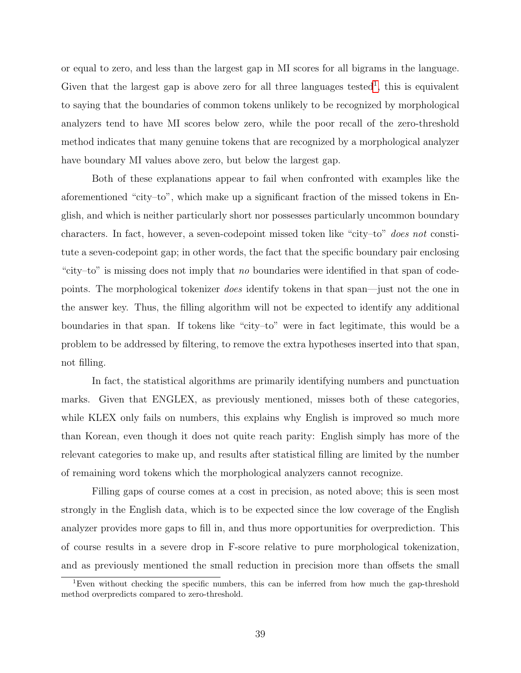or equal to zero, and less than the largest gap in MI scores for all bigrams in the language. Given that the largest gap is above zero for all three languages tested<sup>[1](#page-46-0)</sup>, this is equivalent to saying that the boundaries of common tokens unlikely to be recognized by morphological analyzers tend to have MI scores below zero, while the poor recall of the zero-threshold method indicates that many genuine tokens that are recognized by a morphological analyzer have boundary MI values above zero, but below the largest gap.

Both of these explanations appear to fail when confronted with examples like the aforementioned "city–to", which make up a significant fraction of the missed tokens in English, and which is neither particularly short nor possesses particularly uncommon boundary characters. In fact, however, a seven-codepoint missed token like "city–to" does not constitute a seven-codepoint gap; in other words, the fact that the specific boundary pair enclosing "city–to" is missing does not imply that no boundaries were identified in that span of codepoints. The morphological tokenizer does identify tokens in that span—just not the one in the answer key. Thus, the filling algorithm will not be expected to identify any additional boundaries in that span. If tokens like "city–to" were in fact legitimate, this would be a problem to be addressed by filtering, to remove the extra hypotheses inserted into that span, not filling.

In fact, the statistical algorithms are primarily identifying numbers and punctuation marks. Given that ENGLEX, as previously mentioned, misses both of these categories, while KLEX only fails on numbers, this explains why English is improved so much more than Korean, even though it does not quite reach parity: English simply has more of the relevant categories to make up, and results after statistical filling are limited by the number of remaining word tokens which the morphological analyzers cannot recognize.

Filling gaps of course comes at a cost in precision, as noted above; this is seen most strongly in the English data, which is to be expected since the low coverage of the English analyzer provides more gaps to fill in, and thus more opportunities for overprediction. This of course results in a severe drop in F-score relative to pure morphological tokenization, and as previously mentioned the small reduction in precision more than offsets the small

<span id="page-46-0"></span><sup>1</sup>Even without checking the specific numbers, this can be inferred from how much the gap-threshold method overpredicts compared to zero-threshold.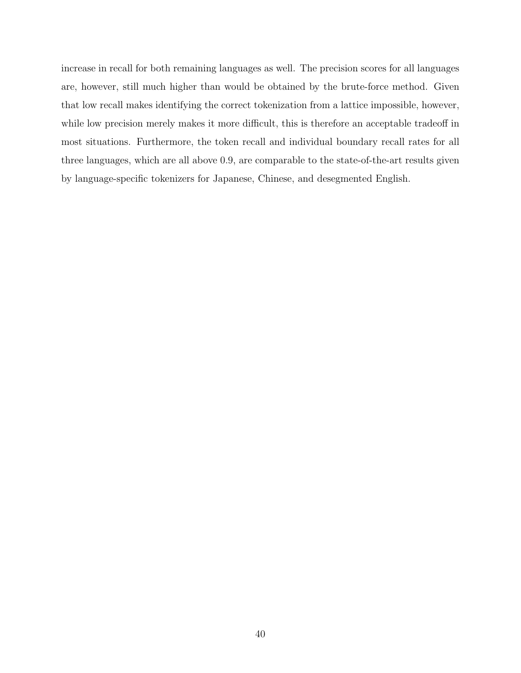increase in recall for both remaining languages as well. The precision scores for all languages are, however, still much higher than would be obtained by the brute-force method. Given that low recall makes identifying the correct tokenization from a lattice impossible, however, while low precision merely makes it more difficult, this is therefore an acceptable tradeoff in most situations. Furthermore, the token recall and individual boundary recall rates for all three languages, which are all above 0.9, are comparable to the state-of-the-art results given by language-specific tokenizers for Japanese, Chinese, and desegmented English.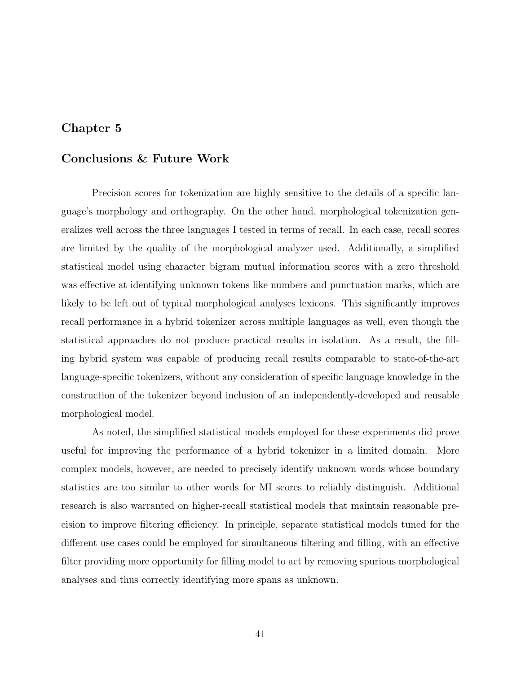# <span id="page-48-0"></span>Chapter 5

# Conclusions & Future Work

Precision scores for tokenization are highly sensitive to the details of a specific language's morphology and orthography. On the other hand, morphological tokenization generalizes well across the three languages I tested in terms of recall. In each case, recall scores are limited by the quality of the morphological analyzer used. Additionally, a simplified statistical model using character bigram mutual information scores with a zero threshold was effective at identifying unknown tokens like numbers and punctuation marks, which are likely to be left out of typical morphological analyses lexicons. This significantly improves recall performance in a hybrid tokenizer across multiple languages as well, even though the statistical approaches do not produce practical results in isolation. As a result, the filling hybrid system was capable of producing recall results comparable to state-of-the-art language-specific tokenizers, without any consideration of specific language knowledge in the construction of the tokenizer beyond inclusion of an independently-developed and reusable morphological model.

As noted, the simplified statistical models employed for these experiments did prove useful for improving the performance of a hybrid tokenizer in a limited domain. More complex models, however, are needed to precisely identify unknown words whose boundary statistics are too similar to other words for MI scores to reliably distinguish. Additional research is also warranted on higher-recall statistical models that maintain reasonable precision to improve filtering efficiency. In principle, separate statistical models tuned for the different use cases could be employed for simultaneous filtering and filling, with an effective filter providing more opportunity for filling model to act by removing spurious morphological analyses and thus correctly identifying more spans as unknown.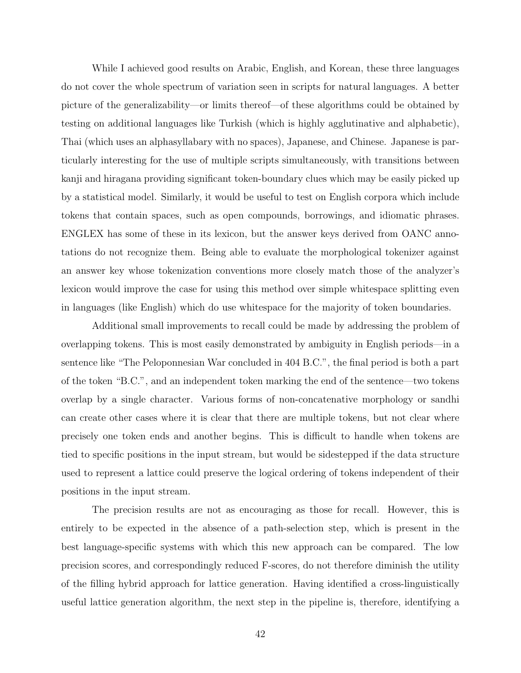While I achieved good results on Arabic, English, and Korean, these three languages do not cover the whole spectrum of variation seen in scripts for natural languages. A better picture of the generalizability—or limits thereof—of these algorithms could be obtained by testing on additional languages like Turkish (which is highly agglutinative and alphabetic), Thai (which uses an alphasyllabary with no spaces), Japanese, and Chinese. Japanese is particularly interesting for the use of multiple scripts simultaneously, with transitions between kanji and hiragana providing significant token-boundary clues which may be easily picked up by a statistical model. Similarly, it would be useful to test on English corpora which include tokens that contain spaces, such as open compounds, borrowings, and idiomatic phrases. ENGLEX has some of these in its lexicon, but the answer keys derived from OANC annotations do not recognize them. Being able to evaluate the morphological tokenizer against an answer key whose tokenization conventions more closely match those of the analyzer's lexicon would improve the case for using this method over simple whitespace splitting even in languages (like English) which do use whitespace for the majority of token boundaries.

Additional small improvements to recall could be made by addressing the problem of overlapping tokens. This is most easily demonstrated by ambiguity in English periods—in a sentence like "The Peloponnesian War concluded in 404 B.C.", the final period is both a part of the token "B.C.", and an independent token marking the end of the sentence—two tokens overlap by a single character. Various forms of non-concatenative morphology or sandhi can create other cases where it is clear that there are multiple tokens, but not clear where precisely one token ends and another begins. This is difficult to handle when tokens are tied to specific positions in the input stream, but would be sidestepped if the data structure used to represent a lattice could preserve the logical ordering of tokens independent of their positions in the input stream.

The precision results are not as encouraging as those for recall. However, this is entirely to be expected in the absence of a path-selection step, which is present in the best language-specific systems with which this new approach can be compared. The low precision scores, and correspondingly reduced F-scores, do not therefore diminish the utility of the filling hybrid approach for lattice generation. Having identified a cross-linguistically useful lattice generation algorithm, the next step in the pipeline is, therefore, identifying a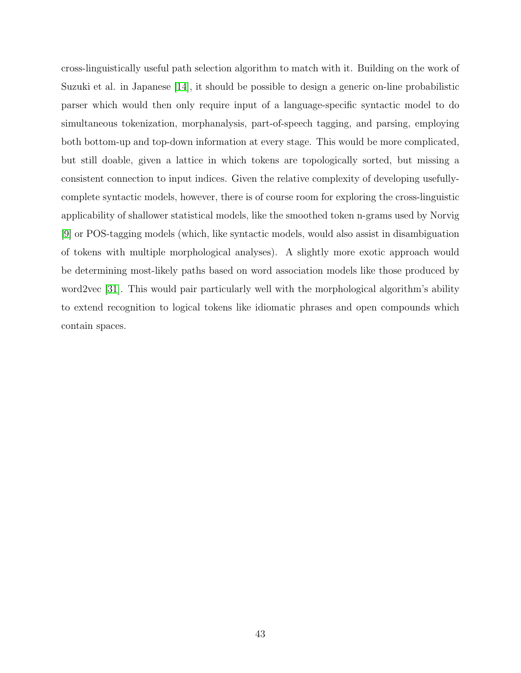<span id="page-50-0"></span>cross-linguistically useful path selection algorithm to match with it. Building on the work of Suzuki et al. in Japanese [\[14\]](#page-52-2), it should be possible to design a generic on-line probabilistic parser which would then only require input of a language-specific syntactic model to do simultaneous tokenization, morphanalysis, part-of-speech tagging, and parsing, employing both bottom-up and top-down information at every stage. This would be more complicated, but still doable, given a lattice in which tokens are topologically sorted, but missing a consistent connection to input indices. Given the relative complexity of developing usefullycomplete syntactic models, however, there is of course room for exploring the cross-linguistic applicability of shallower statistical models, like the smoothed token n-grams used by Norvig [\[9\]](#page-51-9) or POS-tagging models (which, like syntactic models, would also assist in disambiguation of tokens with multiple morphological analyses). A slightly more exotic approach would be determining most-likely paths based on word association models like those produced by word2vec [\[31\]](#page-53-7). This would pair particularly well with the morphological algorithm's ability to extend recognition to logical tokens like idiomatic phrases and open compounds which contain spaces.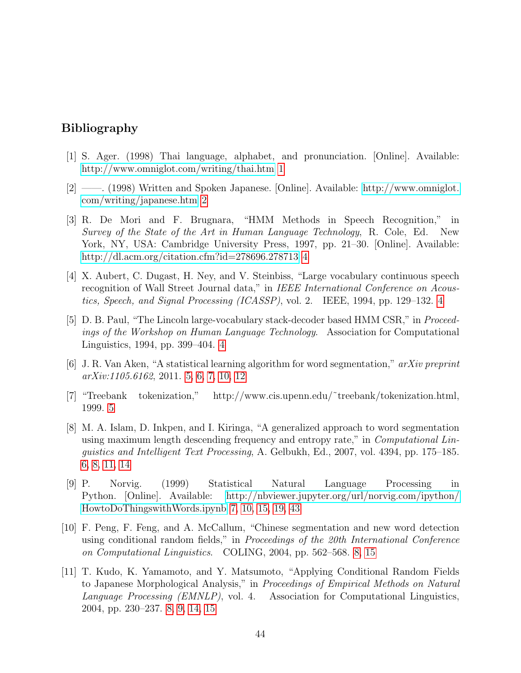# <span id="page-51-0"></span>Bibliography

- <span id="page-51-1"></span>[1] S. Ager. (1998) Thai language, alphabet, and pronunciation. [Online]. Available: <http://www.omniglot.com/writing/thai.htm> [1](#page-8-2)
- <span id="page-51-2"></span>[2] ——. (1998) Written and Spoken Japanese. [Online]. Available: [http://www.omniglot.](http://www.omniglot.com/writing/japanese.htm) [com/writing/japanese.htm](http://www.omniglot.com/writing/japanese.htm) [2](#page-9-1)
- <span id="page-51-3"></span>[3] R. De Mori and F. Brugnara, "HMM Methods in Speech Recognition," in Survey of the State of the Art in Human Language Technology, R. Cole, Ed. New York, NY, USA: Cambridge University Press, 1997, pp. 21–30. [Online]. Available: <http://dl.acm.org/citation.cfm?id=278696.278713> [4](#page-11-3)
- <span id="page-51-4"></span>[4] X. Aubert, C. Dugast, H. Ney, and V. Steinbiss, "Large vocabulary continuous speech recognition of Wall Street Journal data," in IEEE International Conference on Acoustics, Speech, and Signal Processing (ICASSP), vol. 2. IEEE, 1994, pp. 129–132. [4](#page-11-3)
- <span id="page-51-5"></span>[5] D. B. Paul, "The Lincoln large-vocabulary stack-decoder based HMM CSR," in Proceedings of the Workshop on Human Language Technology. Association for Computational Linguistics, 1994, pp. 399–404. [4](#page-11-3)
- <span id="page-51-6"></span>[6] J. R. Van Aken, "A statistical learning algorithm for word segmentation," arXiv preprint arXiv:1105.6162, 2011. [5,](#page-12-3) [6,](#page-13-1) [7,](#page-14-0) [10,](#page-17-0) [12](#page-19-1)
- <span id="page-51-7"></span>[7] "Treebank tokenization," http://www.cis.upenn.edu/˜treebank/tokenization.html, 1999. [5](#page-12-3)
- <span id="page-51-8"></span>[8] M. A. Islam, D. Inkpen, and I. Kiringa, "A generalized approach to word segmentation using maximum length descending frequency and entropy rate," in *Computational Lin*guistics and Intelligent Text Processing, A. Gelbukh, Ed., 2007, vol. 4394, pp. 175–185. [6,](#page-13-1) [8,](#page-15-2) [11,](#page-18-1) [14](#page-21-2)
- <span id="page-51-9"></span>[9] P. Norvig. (1999) Statistical Natural Language Processing in Python. [Online]. Available: [http://nbviewer.jupyter.org/url/norvig.com/ipython/](http://nbviewer.jupyter.org/url/norvig.com/ipython/How to Do Things with Words.ipynb) [HowtoDoThingswithWords.ipynb](http://nbviewer.jupyter.org/url/norvig.com/ipython/How to Do Things with Words.ipynb) [7,](#page-14-0) [10,](#page-17-0) [15,](#page-22-1) [19,](#page-26-1) [43](#page-50-0)
- <span id="page-51-10"></span>[10] F. Peng, F. Feng, and A. McCallum, "Chinese segmentation and new word detection using conditional random fields," in Proceedings of the 20th International Conference on Computational Linguistics. COLING, 2004, pp. 562–568. [8,](#page-15-2) [15](#page-22-1)
- <span id="page-51-11"></span>[11] T. Kudo, K. Yamamoto, and Y. Matsumoto, "Applying Conditional Random Fields to Japanese Morphological Analysis," in Proceedings of Empirical Methods on Natural Language Processing (EMNLP), vol. 4. Association for Computational Linguistics, 2004, pp. 230–237. [8,](#page-15-2) [9,](#page-16-0) [14,](#page-21-2) [15](#page-22-1)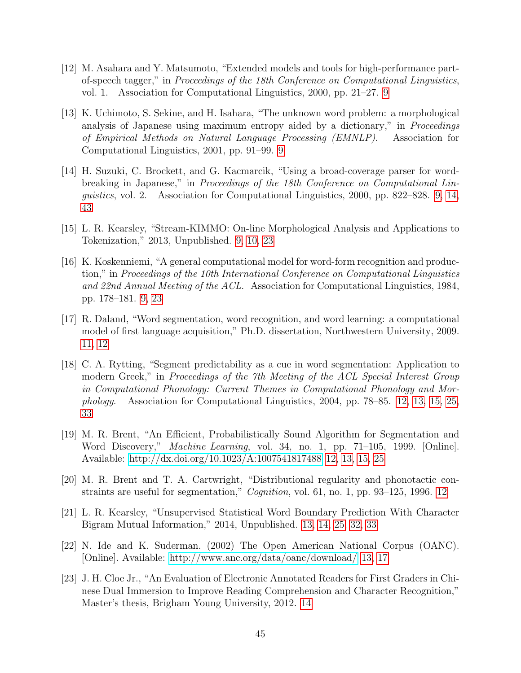- <span id="page-52-0"></span>[12] M. Asahara and Y. Matsumoto, "Extended models and tools for high-performance partof-speech tagger," in Proceedings of the 18th Conference on Computational Linguistics, vol. 1. Association for Computational Linguistics, 2000, pp. 21–27. [9](#page-16-0)
- <span id="page-52-1"></span>[13] K. Uchimoto, S. Sekine, and H. Isahara, "The unknown word problem: a morphological analysis of Japanese using maximum entropy aided by a dictionary," in Proceedings of Empirical Methods on Natural Language Processing (EMNLP). Association for Computational Linguistics, 2001, pp. 91–99. [9](#page-16-0)
- <span id="page-52-2"></span>[14] H. Suzuki, C. Brockett, and G. Kacmarcik, "Using a broad-coverage parser for wordbreaking in Japanese," in Proceedings of the 18th Conference on Computational Linguistics, vol. 2. Association for Computational Linguistics, 2000, pp. 822–828. [9,](#page-16-0) [14,](#page-21-2) [43](#page-50-0)
- <span id="page-52-3"></span>[15] L. R. Kearsley, "Stream-KIMMO: On-line Morphological Analysis and Applications to Tokenization," 2013, Unpublished. [9,](#page-16-0) [10,](#page-17-0) [23](#page-30-3)
- <span id="page-52-4"></span>[16] K. Koskenniemi, "A general computational model for word-form recognition and production," in Proceedings of the 10th International Conference on Computational Linguistics and 22nd Annual Meeting of the ACL. Association for Computational Linguistics, 1984, pp. 178–181. [9,](#page-16-0) [23](#page-30-3)
- <span id="page-52-5"></span>[17] R. Daland, "Word segmentation, word recognition, and word learning: a computational model of first language acquisition," Ph.D. dissertation, Northwestern University, 2009. [11,](#page-18-1) [12](#page-19-1)
- <span id="page-52-6"></span>[18] C. A. Rytting, "Segment predictability as a cue in word segmentation: Application to modern Greek," in Proceedings of the 7th Meeting of the ACL Special Interest Group in Computational Phonology: Current Themes in Computational Phonology and Morphology. Association for Computational Linguistics, 2004, pp. 78–85. [12,](#page-19-1) [13,](#page-20-0) [15,](#page-22-1) [25,](#page-32-0) [33](#page-40-3)
- <span id="page-52-7"></span>[19] M. R. Brent, "An Efficient, Probabilistically Sound Algorithm for Segmentation and Word Discovery," Machine Learning, vol. 34, no. 1, pp. 71–105, 1999. [Online]. Available:<http://dx.doi.org/10.1023/A:1007541817488> [12,](#page-19-1) [13,](#page-20-0) [15,](#page-22-1) [25](#page-32-0)
- <span id="page-52-8"></span>[20] M. R. Brent and T. A. Cartwright, "Distributional regularity and phonotactic constraints are useful for segmentation," *Cognition*, vol. 61, no. 1, pp. 93–125, 1996. [12](#page-19-1)
- <span id="page-52-9"></span>[21] L. R. Kearsley, "Unsupervised Statistical Word Boundary Prediction With Character Bigram Mutual Information," 2014, Unpublished. [13,](#page-20-0) [14,](#page-21-2) [25,](#page-32-0) [32,](#page-39-3) [33](#page-40-3)
- <span id="page-52-10"></span>[22] N. Ide and K. Suderman. (2002) The Open American National Corpus (OANC). [Online]. Available:<http://www.anc.org/data/oanc/download/> [13,](#page-20-0) [17](#page-24-3)
- <span id="page-52-11"></span>[23] J. H. Cloe Jr., "An Evaluation of Electronic Annotated Readers for First Graders in Chinese Dual Immersion to Improve Reading Comprehension and Character Recognition," Master's thesis, Brigham Young University, 2012. [14](#page-21-2)